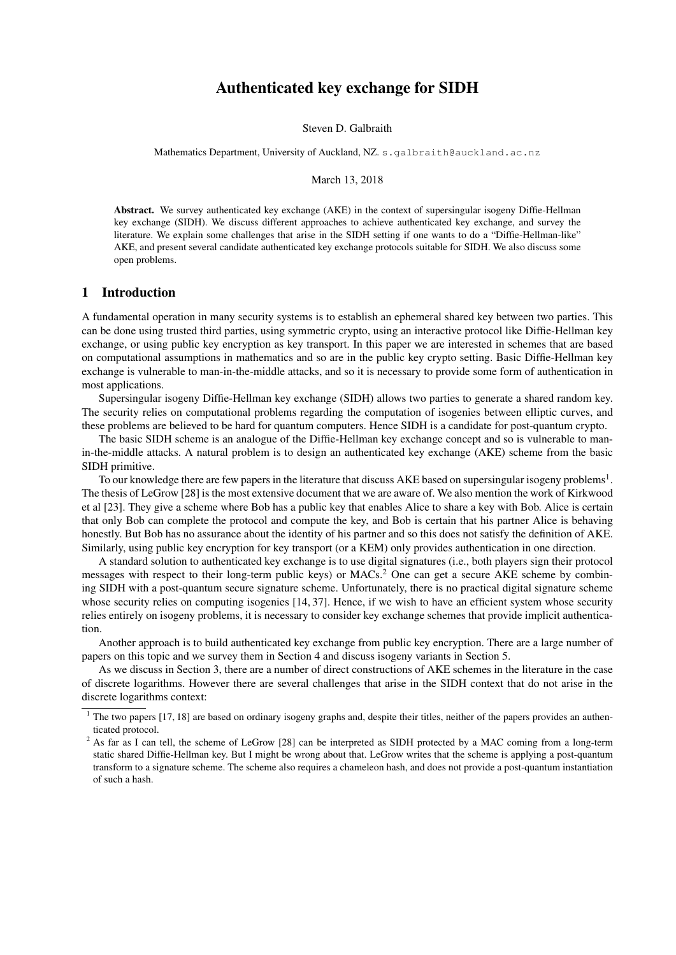## Authenticated key exchange for SIDH

Steven D. Galbraith

Mathematics Department, University of Auckland, NZ. s. galbraith@auckland.ac.nz

March 13, 2018

Abstract. We survey authenticated key exchange (AKE) in the context of supersingular isogeny Diffie-Hellman key exchange (SIDH). We discuss different approaches to achieve authenticated key exchange, and survey the literature. We explain some challenges that arise in the SIDH setting if one wants to do a "Diffie-Hellman-like" AKE, and present several candidate authenticated key exchange protocols suitable for SIDH. We also discuss some open problems.

## 1 Introduction

A fundamental operation in many security systems is to establish an ephemeral shared key between two parties. This can be done using trusted third parties, using symmetric crypto, using an interactive protocol like Diffie-Hellman key exchange, or using public key encryption as key transport. In this paper we are interested in schemes that are based on computational assumptions in mathematics and so are in the public key crypto setting. Basic Diffie-Hellman key exchange is vulnerable to man-in-the-middle attacks, and so it is necessary to provide some form of authentication in most applications.

Supersingular isogeny Diffie-Hellman key exchange (SIDH) allows two parties to generate a shared random key. The security relies on computational problems regarding the computation of isogenies between elliptic curves, and these problems are believed to be hard for quantum computers. Hence SIDH is a candidate for post-quantum crypto.

The basic SIDH scheme is an analogue of the Diffie-Hellman key exchange concept and so is vulnerable to manin-the-middle attacks. A natural problem is to design an authenticated key exchange (AKE) scheme from the basic SIDH primitive.

To our knowledge there are few papers in the literature that discuss AKE based on supersingular isogeny problems<sup>1</sup>. The thesis of LeGrow [28] is the most extensive document that we are aware of. We also mention the work of Kirkwood et al [23]. They give a scheme where Bob has a public key that enables Alice to share a key with Bob. Alice is certain that only Bob can complete the protocol and compute the key, and Bob is certain that his partner Alice is behaving honestly. But Bob has no assurance about the identity of his partner and so this does not satisfy the definition of AKE. Similarly, using public key encryption for key transport (or a KEM) only provides authentication in one direction.

A standard solution to authenticated key exchange is to use digital signatures (i.e., both players sign their protocol messages with respect to their long-term public keys) or MACs.<sup>2</sup> One can get a secure AKE scheme by combining SIDH with a post-quantum secure signature scheme. Unfortunately, there is no practical digital signature scheme whose security relies on computing isogenies [14, 37]. Hence, if we wish to have an efficient system whose security relies entirely on isogeny problems, it is necessary to consider key exchange schemes that provide implicit authentication.

Another approach is to build authenticated key exchange from public key encryption. There are a large number of papers on this topic and we survey them in Section 4 and discuss isogeny variants in Section 5.

As we discuss in Section 3, there are a number of direct constructions of AKE schemes in the literature in the case of discrete logarithms. However there are several challenges that arise in the SIDH context that do not arise in the discrete logarithms context:

<sup>&</sup>lt;sup>1</sup> The two papers [17, 18] are based on ordinary isogeny graphs and, despite their titles, neither of the papers provides an authenticated protocol.

<sup>&</sup>lt;sup>2</sup> As far as I can tell, the scheme of LeGrow [28] can be interpreted as SIDH protected by a MAC coming from a long-term static shared Diffie-Hellman key. But I might be wrong about that. LeGrow writes that the scheme is applying a post-quantum transform to a signature scheme. The scheme also requires a chameleon hash, and does not provide a post-quantum instantiation of such a hash.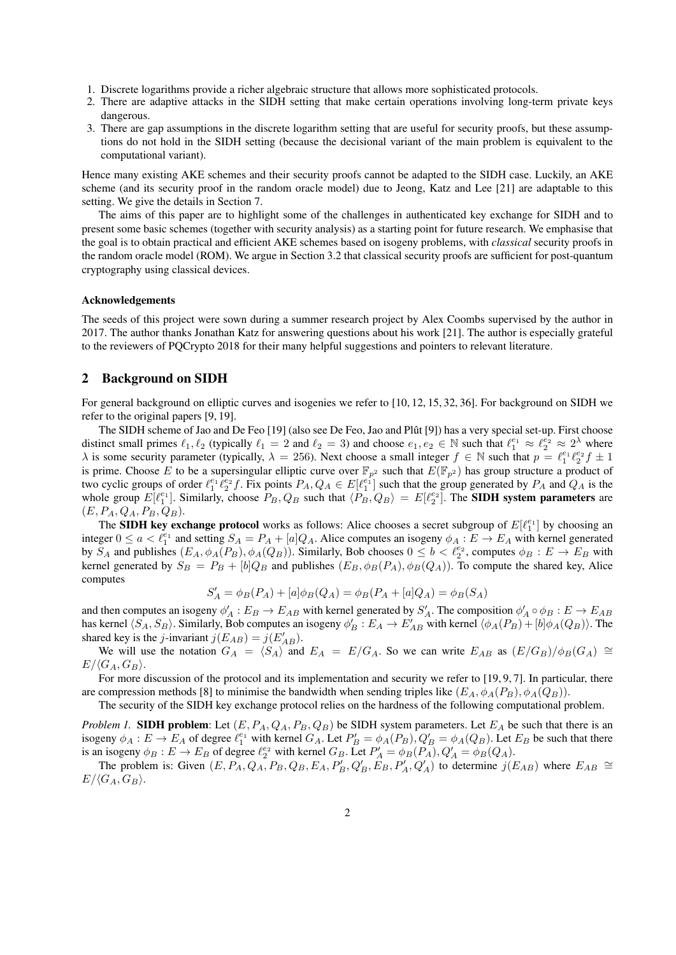- 1. Discrete logarithms provide a richer algebraic structure that allows more sophisticated protocols.
- 2. There are adaptive attacks in the SIDH setting that make certain operations involving long-term private keys dangerous.
- 3. There are gap assumptions in the discrete logarithm setting that are useful for security proofs, but these assumptions do not hold in the SIDH setting (because the decisional variant of the main problem is equivalent to the computational variant).

Hence many existing AKE schemes and their security proofs cannot be adapted to the SIDH case. Luckily, an AKE scheme (and its security proof in the random oracle model) due to Jeong, Katz and Lee [21] are adaptable to this setting. We give the details in Section 7.

The aims of this paper are to highlight some of the challenges in authenticated key exchange for SIDH and to present some basic schemes (together with security analysis) as a starting point for future research. We emphasise that the goal is to obtain practical and efficient AKE schemes based on isogeny problems, with *classical* security proofs in the random oracle model (ROM). We argue in Section 3.2 that classical security proofs are sufficient for post-quantum cryptography using classical devices.

#### Acknowledgements

The seeds of this project were sown during a summer research project by Alex Coombs supervised by the author in 2017. The author thanks Jonathan Katz for answering questions about his work [21]. The author is especially grateful to the reviewers of PQCrypto 2018 for their many helpful suggestions and pointers to relevant literature.

## 2 Background on SIDH

For general background on elliptic curves and isogenies we refer to [10, 12, 15, 32, 36]. For background on SIDH we refer to the original papers [9, 19].

The SIDH scheme of Jao and De Feo [19] (also see De Feo, Jao and Plût [9]) has a very special set-up. First choose distinct small primes  $\ell_1, \ell_2$  (typically  $\ell_1 = 2$  and  $\ell_2 = 3$ ) and choose  $e_1, e_2 \in \mathbb{N}$  such that  $\ell_1^{e_1} \approx \ell_2^{e_2} \approx 2^{\lambda}$  where  $\lambda$  is some security parameter (typically,  $\lambda = 256$ ). Next choose a small integer  $f \in \mathbb{N}$  such that  $p = \ell_1^{e_1} \ell_2^{e_2} f \pm 1$ is prime. Choose E to be a supersingular elliptic curve over  $\mathbb{F}_{p^2}$  such that  $E(\mathbb{F}_{p^2})$  has group structure a product of two cyclic groups of order  $\ell_1^{e_1} \ell_2^{e_2} f$ . Fix points  $P_A, Q_A \in E[\ell_1^{e_1}]$  such that the group generated by  $P_A$  and  $Q_A$  is the whole group  $E[\ell_1^{e_1}]$ . Similarly, choose  $P_B, Q_B$  such that  $\langle P_B, Q_B \rangle = E[\ell_2^{e_2}]$ . The **SIDH system parameters** are  $(E, P_A, Q_A, P_B, Q_B).$ 

The **SIDH key exchange protocol** works as follows: Alice chooses a secret subgroup of  $E[\ell_1^{e_1}]$  by choosing an integer  $0 \le a < \ell_1^{e_1}$  and setting  $S_A = P_A + [a]Q_A$ . Alice computes an isogeny  $\phi_A : E \to E_A$  with kernel generated by  $S_A$  and publishes  $(E_A, \phi_A(P_B), \phi_A(Q_B))$ . Similarly, Bob chooses  $0 \le b < l_2^{e_2}$ , computes  $\phi_B : E \to E_B$  with kernel generated by  $S_B = P_B + [b]Q_B$  and publishes  $(E_B, \phi_B(P_A), \phi_B(Q_A))$ . To compute the shared key, Alice computes

$$
S'_A = \phi_B(P_A) + [a]\phi_B(Q_A) = \phi_B(P_A + [a]Q_A) = \phi_B(S_A)
$$

and then computes an isogeny  $\phi'_A : E_B \to E_{AB}$  with kernel generated by  $S'_A$ . The composition  $\phi'_A \circ \phi_B : E \to E_{AB}$ has kernel  $\langle S_A, S_B \rangle$ . Similarly, Bob computes an isogeny  $\phi'_B : E_A \to E'_{AB}$  with kernel  $\langle \phi_A(P_B) + [b] \phi_A(Q_B) \rangle$ . The shared key is the *j*-invariant  $j(E_{AB}) = j(E'_{AB})$ .

We will use the notation  $G_A = \langle S_A \rangle$  and  $E_A = E/G_A$ . So we can write  $E_{AB}$  as  $(E/G_B)/\phi_B(G_A) \cong$  $E/\langle G_A, G_B \rangle$ .

For more discussion of the protocol and its implementation and security we refer to [19, 9, 7]. In particular, there are compression methods [8] to minimise the bandwidth when sending triples like  $(E_A, \phi_A(P_B), \phi_A(Q_B))$ .

The security of the SIDH key exchange protocol relies on the hardness of the following computational problem.

*Problem 1.* SIDH problem: Let  $(E, P_A, Q_A, P_B, Q_B)$  be SIDH system parameters. Let  $E_A$  be such that there is an isogeny  $\phi_A : E \to E_A$  of degree  $\ell_1^{e_1}$  with kernel  $G_A$ . Let  $P'_B = \phi_A(P_B)$ ,  $Q'_B = \phi_A(Q_B)$ . Let  $E_B$  be such that there is an isogeny  $\phi_B : E \to E_B$  of degree  $\ell_2^{e_2}$  with kernel  $G_B$ . Let  $P'_A = \phi_B(P_A)$ ,  $Q'_A = \phi_B(Q_A)$ .

The problem is: Given  $(E, P_A, Q_A, P_B, Q_B, E_A, P'_B, Q'_B, E_B, P'_A, Q'_A)$  to determine  $j(E_{AB})$  where  $E_{AB} \cong$  $E/\langle G_A, G_B \rangle$ .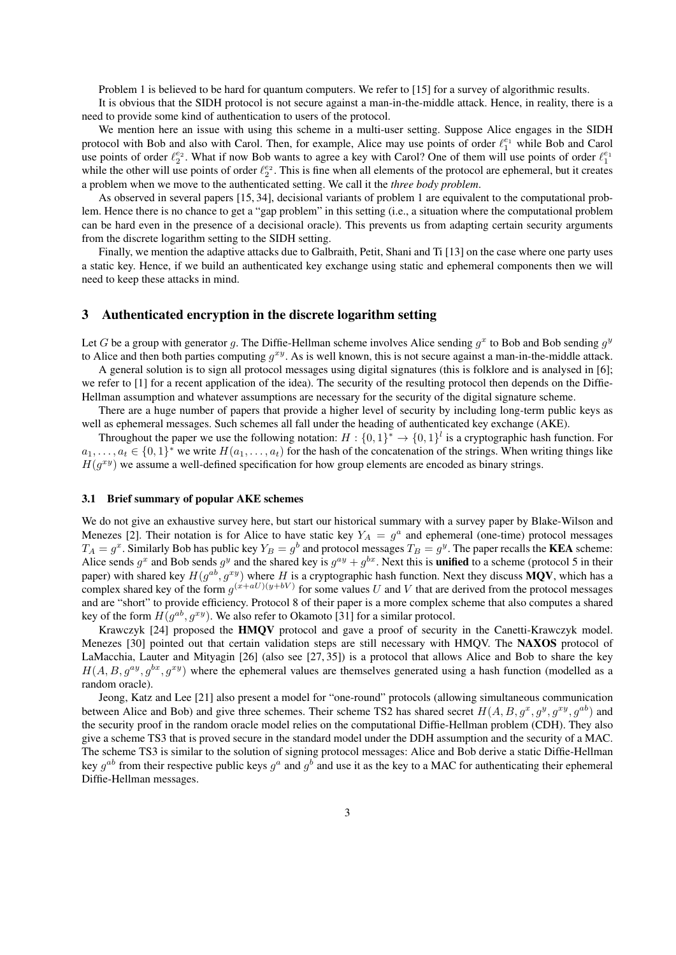Problem 1 is believed to be hard for quantum computers. We refer to [15] for a survey of algorithmic results.

It is obvious that the SIDH protocol is not secure against a man-in-the-middle attack. Hence, in reality, there is a need to provide some kind of authentication to users of the protocol.

We mention here an issue with using this scheme in a multi-user setting. Suppose Alice engages in the SIDH protocol with Bob and also with Carol. Then, for example, Alice may use points of order  $\ell_1^{e_1}$  while Bob and Carol use points of order  $\ell_2^{e_2}$ . What if now Bob wants to agree a key with Carol? One of them will use points of order  $\ell_1^{e_1}$ while the other will use points of order  $\ell_2^{e_2}$ . This is fine when all elements of the protocol are ephemeral, but it creates a problem when we move to the authenticated setting. We call it the *three body problem*.

As observed in several papers [15, 34], decisional variants of problem 1 are equivalent to the computational problem. Hence there is no chance to get a "gap problem" in this setting (i.e., a situation where the computational problem can be hard even in the presence of a decisional oracle). This prevents us from adapting certain security arguments from the discrete logarithm setting to the SIDH setting.

Finally, we mention the adaptive attacks due to Galbraith, Petit, Shani and Ti [13] on the case where one party uses a static key. Hence, if we build an authenticated key exchange using static and ephemeral components then we will need to keep these attacks in mind.

## 3 Authenticated encryption in the discrete logarithm setting

Let G be a group with generator g. The Diffie-Hellman scheme involves Alice sending  $g^x$  to Bob and Bob sending  $g^y$ to Alice and then both parties computing  $g^{xy}$ . As is well known, this is not secure against a man-in-the-middle attack.

A general solution is to sign all protocol messages using digital signatures (this is folklore and is analysed in [6]; we refer to [1] for a recent application of the idea). The security of the resulting protocol then depends on the Diffie-Hellman assumption and whatever assumptions are necessary for the security of the digital signature scheme.

There are a huge number of papers that provide a higher level of security by including long-term public keys as well as ephemeral messages. Such schemes all fall under the heading of authenticated key exchange (AKE).

Throughout the paper we use the following notation:  $H: \{0,1\}^* \to \{0,1\}^l$  is a cryptographic hash function. For  $a_1, \ldots, a_t \in \{0,1\}^*$  we write  $H(a_1, \ldots, a_t)$  for the hash of the concatenation of the strings. When writing things like  $H(g^{xy})$  we assume a well-defined specification for how group elements are encoded as binary strings.

#### 3.1 Brief summary of popular AKE schemes

We do not give an exhaustive survey here, but start our historical summary with a survey paper by Blake-Wilson and Menezes [2]. Their notation is for Alice to have static key  $Y_A = g^a$  and ephemeral (one-time) protocol messages  $T_A=g^x$ . Similarly Bob has public key  $Y_B=g^b$  and protocol messages  $T_B=g^y$ . The paper recalls the KEA scheme: Alice sends  $g^x$  and Bob sends  $g^y$  and the shared key is  $g^{ay} + g^{bx}$ . Next this is **unified** to a scheme (protocol 5 in their paper) with shared key  $H(g^{ab}, g^{xy})$  where H is a cryptographic hash function. Next they discuss MQV, which has a complex shared key of the form  $g^{(x+aU)(y+bV)}$  for some values U and V that are derived from the protocol messages and are "short" to provide efficiency. Protocol 8 of their paper is a more complex scheme that also computes a shared key of the form  $H(g^{ab}, g^{xy})$ . We also refer to Okamoto [31] for a similar protocol.

Krawczyk [24] proposed the HMQV protocol and gave a proof of security in the Canetti-Krawczyk model. Menezes [30] pointed out that certain validation steps are still necessary with HMQV. The NAXOS protocol of LaMacchia, Lauter and Mityagin [26] (also see [27, 35]) is a protocol that allows Alice and Bob to share the key  $H(A, B, q^{ay}, q^{bx}, q^{xy})$  where the ephemeral values are themselves generated using a hash function (modelled as a random oracle).

Jeong, Katz and Lee [21] also present a model for "one-round" protocols (allowing simultaneous communication between Alice and Bob) and give three schemes. Their scheme TS2 has shared secret  $H(A, B, g^x, g^y, g^{xy}, g^{ab})$  and the security proof in the random oracle model relies on the computational Diffie-Hellman problem (CDH). They also give a scheme TS3 that is proved secure in the standard model under the DDH assumption and the security of a MAC. The scheme TS3 is similar to the solution of signing protocol messages: Alice and Bob derive a static Diffie-Hellman key  $g^{ab}$  from their respective public keys  $g^a$  and  $g^b$  and use it as the key to a MAC for authenticating their ephemeral Diffie-Hellman messages.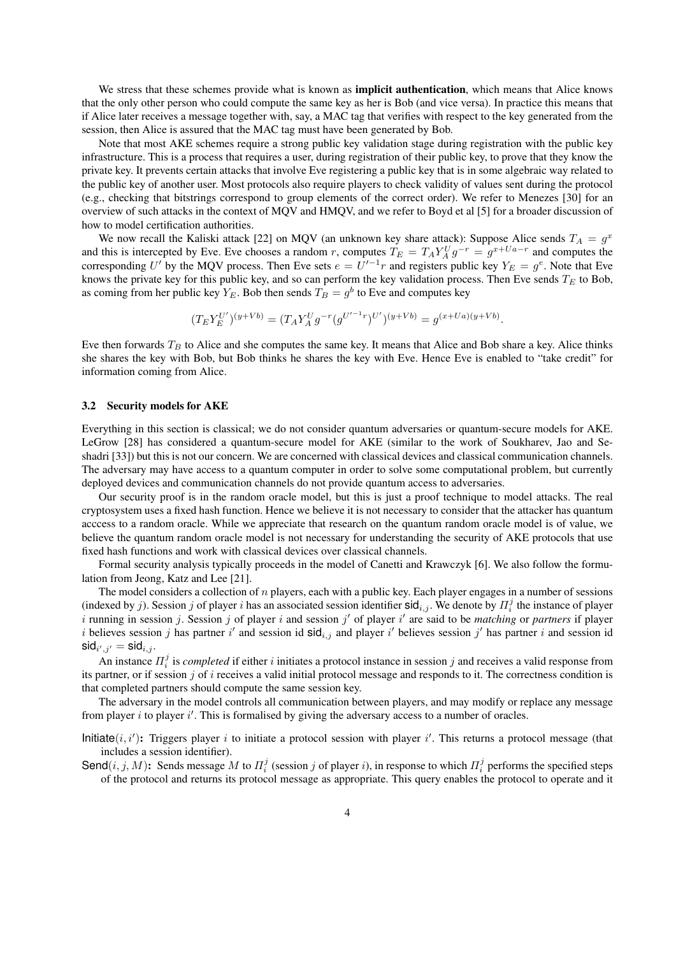We stress that these schemes provide what is known as **implicit authentication**, which means that Alice knows that the only other person who could compute the same key as her is Bob (and vice versa). In practice this means that if Alice later receives a message together with, say, a MAC tag that verifies with respect to the key generated from the session, then Alice is assured that the MAC tag must have been generated by Bob.

Note that most AKE schemes require a strong public key validation stage during registration with the public key infrastructure. This is a process that requires a user, during registration of their public key, to prove that they know the private key. It prevents certain attacks that involve Eve registering a public key that is in some algebraic way related to the public key of another user. Most protocols also require players to check validity of values sent during the protocol (e.g., checking that bitstrings correspond to group elements of the correct order). We refer to Menezes [30] for an overview of such attacks in the context of MQV and HMQV, and we refer to Boyd et al [5] for a broader discussion of how to model certification authorities.

We now recall the Kaliski attack [22] on MQV (an unknown key share attack): Suppose Alice sends  $T_A = g^x$ and this is intercepted by Eve. Eve chooses a random r, computes  $T_E = T_A Y_A^U g^{-r} = g^{x+Ua-r}$  and computes the corresponding U' by the MQV process. Then Eve sets  $e = U'^{-1}r$  and registers public key  $Y_E = g^e$ . Note that Eve knows the private key for this public key, and so can perform the key validation process. Then Eve sends  $T_E$  to Bob, as coming from her public key  $Y_E$ . Bob then sends  $T_B = g^b$  to Eve and computes key

$$
(T_E Y_E^{U'})^{(y+Vb)} = (T_A Y_A^U g^{-r} (g^{U'^{-1}r})^{U'})^{(y+Vb)} = g^{(x+Ua)(y+Vb)}.
$$

Eve then forwards  $T_B$  to Alice and she computes the same key. It means that Alice and Bob share a key. Alice thinks she shares the key with Bob, but Bob thinks he shares the key with Eve. Hence Eve is enabled to "take credit" for information coming from Alice.

## 3.2 Security models for AKE

Everything in this section is classical; we do not consider quantum adversaries or quantum-secure models for AKE. LeGrow [28] has considered a quantum-secure model for AKE (similar to the work of Soukharev, Jao and Seshadri [33]) but this is not our concern. We are concerned with classical devices and classical communication channels. The adversary may have access to a quantum computer in order to solve some computational problem, but currently deployed devices and communication channels do not provide quantum access to adversaries.

Our security proof is in the random oracle model, but this is just a proof technique to model attacks. The real cryptosystem uses a fixed hash function. Hence we believe it is not necessary to consider that the attacker has quantum acccess to a random oracle. While we appreciate that research on the quantum random oracle model is of value, we believe the quantum random oracle model is not necessary for understanding the security of AKE protocols that use fixed hash functions and work with classical devices over classical channels.

Formal security analysis typically proceeds in the model of Canetti and Krawczyk [6]. We also follow the formulation from Jeong, Katz and Lee [21].

The model considers a collection of n players, each with a public key. Each player engages in a number of sessions (indexed by j). Session j of player i has an associated session identifier  $\text{sid}_{i,j}$ . We denote by  $\Pi_i^j$  the instance of player  $i$  running in session  $j$ . Session  $j$  of player  $i$  and session  $j'$  of player  $i'$  are said to be *matching* or *partners* if player i believes session j has partner i' and session id  $\text{sid}_{i,j}$  and player i' believes session j' has partner i and session id  $\mathsf{sid}_{i',j'} = \mathsf{sid}_{i,j}.$ 

An instance  $\Pi_i^j$  is *completed* if either i initiates a protocol instance in session j and receives a valid response from its partner, or if session  $j$  of  $i$  receives a valid initial protocol message and responds to it. The correctness condition is that completed partners should compute the same session key.

The adversary in the model controls all communication between players, and may modify or replace any message from player  $i$  to player  $i'$ . This is formalised by giving the adversary access to a number of oracles.

Initiate $(i, i')$ : Triggers player i to initiate a protocol session with player i'. This returns a protocol message (that includes a session identifier).

Send $(i, j, M)$ : Sends message M to  $\Pi_i^j$  (session j of player i), in response to which  $\Pi_i^j$  performs the specified steps of the protocol and returns its protocol message as appropriate. This query enables the protocol to operate and it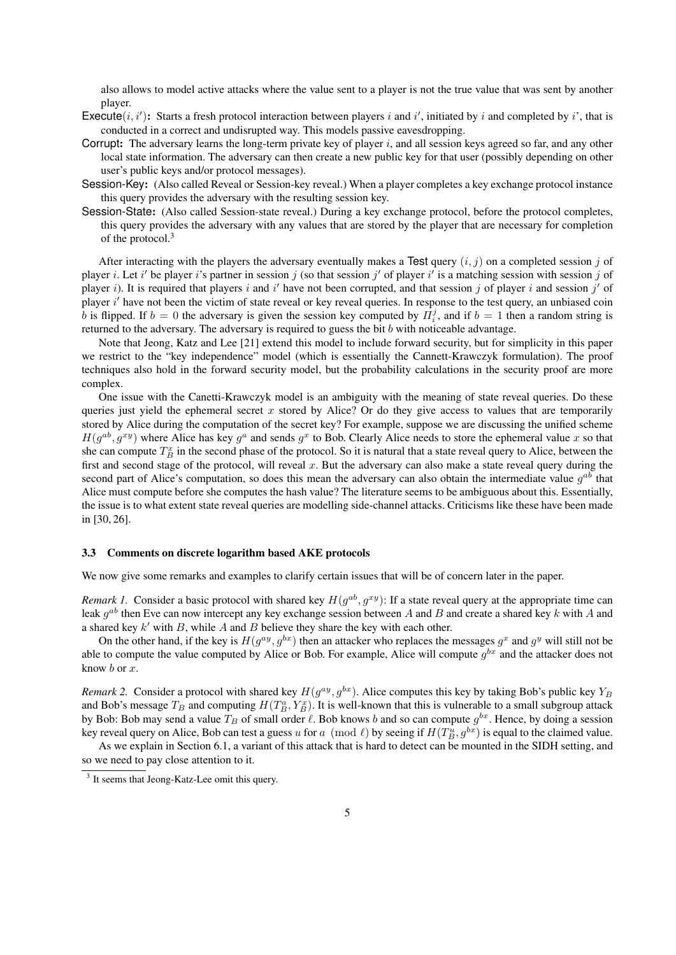also allows to model active attacks where the value sent to a player is not the true value that was sent by another player.

- Execute $(i, i')$ : Starts a fresh protocol interaction between players i and i', initiated by i and completed by i', that is conducted in a correct and undisrupted way. This models passive eavesdropping.
- Corrupt: The adversary learns the long-term private key of player  $i$ , and all session keys agreed so far, and any other local state information. The adversary can then create a new public key for that user (possibly depending on other user's public keys and/or protocol messages).
- Session-Key: (Also called Reveal or Session-key reveal.) When a player completes a key exchange protocol instance this query provides the adversary with the resulting session key.
- Session-State: (Also called Session-state reveal.) During a key exchange protocol, before the protocol completes, this query provides the adversary with any values that are stored by the player that are necessary for completion of the protocol.<sup>3</sup>

After interacting with the players the adversary eventually makes a Test query  $(i, j)$  on a completed session j of player *i*. Let i' be player i's partner in session j (so that session j' of player i' is a matching session with session j of player i). It is required that players i and i' have not been corrupted, and that session j of player i and session j' of player i' have not been the victim of state reveal or key reveal queries. In response to the test query, an unbiased coin b is flipped. If  $b = 0$  the adversary is given the session key computed by  $\hat{\Pi}_i^j$ , and if  $b = 1$  then a random string is returned to the adversary. The adversary is required to guess the bit  $b$  with noticeable advantage.

Note that Jeong, Katz and Lee [21] extend this model to include forward security, but for simplicity in this paper we restrict to the "key independence" model (which is essentially the Cannett-Krawczyk formulation). The proof techniques also hold in the forward security model, but the probability calculations in the security proof are more complex.

One issue with the Canetti-Krawczyk model is an ambiguity with the meaning of state reveal queries. Do these queries just yield the ephemeral secret x stored by Alice? Or do they give access to values that are temporarily stored by Alice during the computation of the secret key? For example, suppose we are discussing the unified scheme  $H(g^{ab}, g^{xy})$  where Alice has key  $g^a$  and sends  $g^x$  to Bob. Clearly Alice needs to store the ephemeral value x so that she can compute  $T_B^x$  in the second phase of the protocol. So it is natural that a state reveal query to Alice, between the first and second stage of the protocol, will reveal  $x$ . But the adversary can also make a state reveal query during the second part of Alice's computation, so does this mean the adversary can also obtain the intermediate value  $g^{ab}$  that Alice must compute before she computes the hash value? The literature seems to be ambiguous about this. Essentially, the issue is to what extent state reveal queries are modelling side-channel attacks. Criticisms like these have been made in [30, 26].

#### 3.3 Comments on discrete logarithm based AKE protocols

We now give some remarks and examples to clarify certain issues that will be of concern later in the paper.

*Remark 1.* Consider a basic protocol with shared key  $H(g^{ab}, g^{xy})$ : If a state reveal query at the appropriate time can leak  $g^{ab}$  then Eve can now intercept any key exchange session between A and B and create a shared key k with A and a shared key  $k'$  with  $B$ , while  $A$  and  $B$  believe they share the key with each other.

On the other hand, if the key is  $H(g^{ay}, g^{bx})$  then an attacker who replaces the messages  $g^x$  and  $g^y$  will still not be able to compute the value computed by Alice or Bob. For example, Alice will compute  $g^{bx}$  and the attacker does not know b or x.

*Remark 2.* Consider a protocol with shared key  $H(g^{ay}, g^{bx})$ . Alice computes this key by taking Bob's public key  $Y_B$ and Bob's message  $T_B$  and computing  $H(T_B^a, Y_B^x)$ . It is well-known that this is vulnerable to a small subgroup attack by Bob: Bob may send a value  $T_B$  of small order  $\ell$ . Bob knows b and so can compute  $g^{bx}$ . Hence, by doing a session key reveal query on Alice, Bob can test a guess u for a  $p \pmod{\ell}$  by seeing if  $H(T_B^u, g^{bx})$  is equal to the claimed value.

As we explain in Section 6.1, a variant of this attack that is hard to detect can be mounted in the SIDH setting, and so we need to pay close attention to it.

<sup>&</sup>lt;sup>3</sup> It seems that Jeong-Katz-Lee omit this query.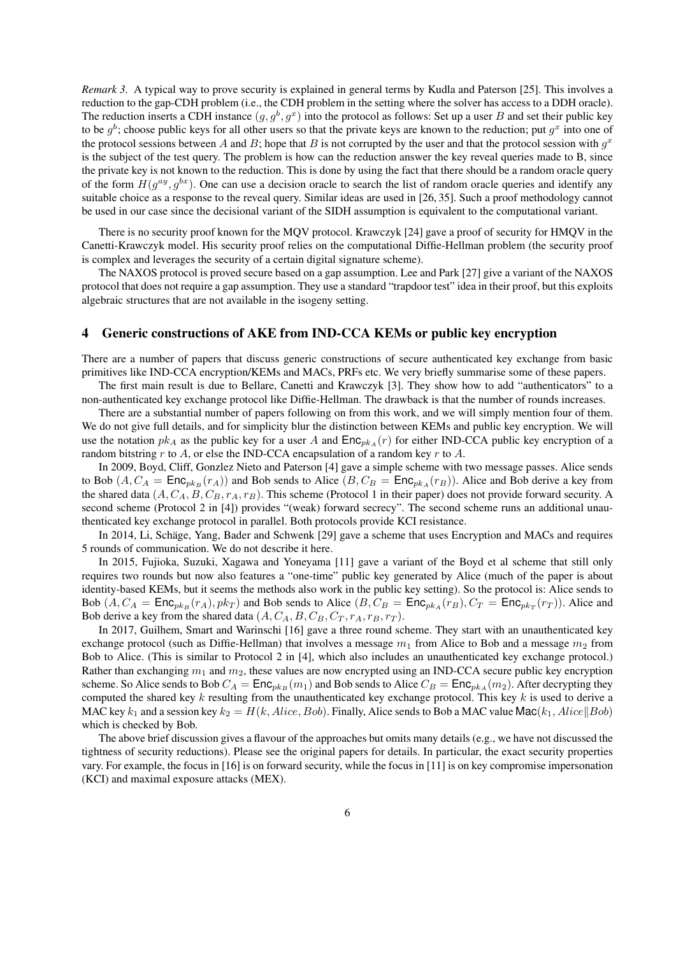*Remark 3.* A typical way to prove security is explained in general terms by Kudla and Paterson [25]. This involves a reduction to the gap-CDH problem (i.e., the CDH problem in the setting where the solver has access to a DDH oracle). The reduction inserts a CDH instance  $(g, g^b, g^x)$  into the protocol as follows: Set up a user B and set their public key to be  $g^b$ ; choose public keys for all other users so that the private keys are known to the reduction; put  $g^x$  into one of the protocol sessions between A and B; hope that B is not corrupted by the user and that the protocol session with  $g^x$ is the subject of the test query. The problem is how can the reduction answer the key reveal queries made to B, since the private key is not known to the reduction. This is done by using the fact that there should be a random oracle query of the form  $H(g^{ay}, g^{bx})$ . One can use a decision oracle to search the list of random oracle queries and identify any suitable choice as a response to the reveal query. Similar ideas are used in [26, 35]. Such a proof methodology cannot be used in our case since the decisional variant of the SIDH assumption is equivalent to the computational variant.

There is no security proof known for the MQV protocol. Krawczyk [24] gave a proof of security for HMQV in the Canetti-Krawczyk model. His security proof relies on the computational Diffie-Hellman problem (the security proof is complex and leverages the security of a certain digital signature scheme).

The NAXOS protocol is proved secure based on a gap assumption. Lee and Park [27] give a variant of the NAXOS protocol that does not require a gap assumption. They use a standard "trapdoor test" idea in their proof, but this exploits algebraic structures that are not available in the isogeny setting.

## 4 Generic constructions of AKE from IND-CCA KEMs or public key encryption

There are a number of papers that discuss generic constructions of secure authenticated key exchange from basic primitives like IND-CCA encryption/KEMs and MACs, PRFs etc. We very briefly summarise some of these papers.

The first main result is due to Bellare, Canetti and Krawczyk [3]. They show how to add "authenticators" to a non-authenticated key exchange protocol like Diffie-Hellman. The drawback is that the number of rounds increases.

There are a substantial number of papers following on from this work, and we will simply mention four of them. We do not give full details, and for simplicity blur the distinction between KEMs and public key encryption. We will use the notation  $pk_A$  as the public key for a user A and  $\text{Enc}_{pk_A}(r)$  for either IND-CCA public key encryption of a random bitstring r to A, or else the IND-CCA encapsulation of a random key r to A.

In 2009, Boyd, Cliff, Gonzlez Nieto and Paterson [4] gave a simple scheme with two message passes. Alice sends to Bob  $(A, C_A = \text{Enc}_{pk_B}(r_A))$  and Bob sends to Alice  $(B, C_B = \text{Enc}_{pk_A}(r_B))$ . Alice and Bob derive a key from the shared data  $(A, C_A, B, C_B, r_A, r_B)$ . This scheme (Protocol 1 in their paper) does not provide forward security. A second scheme (Protocol 2 in [4]) provides "(weak) forward secrecy". The second scheme runs an additional unauthenticated key exchange protocol in parallel. Both protocols provide KCI resistance.

In 2014, Li, Schäge, Yang, Bader and Schwenk [29] gave a scheme that uses Encryption and MACs and requires 5 rounds of communication. We do not describe it here.

In 2015, Fujioka, Suzuki, Xagawa and Yoneyama [11] gave a variant of the Boyd et al scheme that still only requires two rounds but now also features a "one-time" public key generated by Alice (much of the paper is about identity-based KEMs, but it seems the methods also work in the public key setting). So the protocol is: Alice sends to Bob  $(A, C_A = \textsf{Enc}_{pk_B}(r_A), pk_T)$  and Bob sends to Alice  $(B, C_B = \textsf{Enc}_{pk_A}(r_B), C_T = \textsf{Enc}_{pk_T}(r_T))$ . Alice and Bob derive a key from the shared data  $(A, C_A, B, C_B, C_T, r_A, r_B, r_T)$ .

In 2017, Guilhem, Smart and Warinschi [16] gave a three round scheme. They start with an unauthenticated key exchange protocol (such as Diffie-Hellman) that involves a message  $m_1$  from Alice to Bob and a message  $m_2$  from Bob to Alice. (This is similar to Protocol 2 in [4], which also includes an unauthenticated key exchange protocol.) Rather than exchanging  $m_1$  and  $m_2$ , these values are now encrypted using an IND-CCA secure public key encryption scheme. So Alice sends to Bob  $C_A = \text{Enc}_{pk_B}(m_1)$  and Bob sends to Alice  $C_B = \text{Enc}_{pk_A}(m_2)$ . After decrypting they computed the shared key  $k$  resulting from the unauthenticated key exchange protocol. This key  $k$  is used to derive a MAC key  $k_1$  and a session key  $k_2 = H(k, Alice, Bob)$ . Finally, Alice sends to Bob a MAC value Mac $(k_1, Alice||Bob)$ which is checked by Bob.

The above brief discussion gives a flavour of the approaches but omits many details (e.g., we have not discussed the tightness of security reductions). Please see the original papers for details. In particular, the exact security properties vary. For example, the focus in [16] is on forward security, while the focus in [11] is on key compromise impersonation (KCI) and maximal exposure attacks (MEX).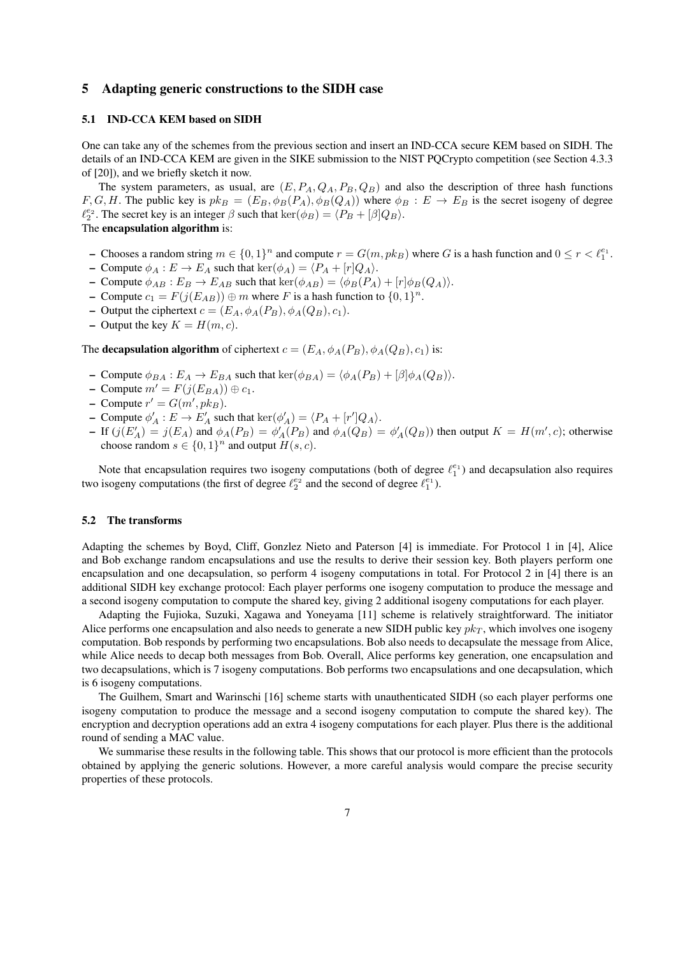## 5 Adapting generic constructions to the SIDH case

#### 5.1 IND-CCA KEM based on SIDH

One can take any of the schemes from the previous section and insert an IND-CCA secure KEM based on SIDH. The details of an IND-CCA KEM are given in the SIKE submission to the NIST PQCrypto competition (see Section 4.3.3 of [20]), and we briefly sketch it now.

The system parameters, as usual, are  $(E, P_A, Q_A, P_B, Q_B)$  and also the description of three hash functions F, G, H. The public key is  $pk_B = (E_B, \phi_B(P_A), \phi_B(Q_A))$  where  $\phi_B : E \to E_B$  is the secret isogeny of degree  $\ell_2^{e_2}$ . The secret key is an integer  $\beta$  such that  $\ker(\phi_B) = \langle P_B + [\beta]Q_B \rangle$ . The encapsulation algorithm is:

# - Chooses a random string  $m \in \{0,1\}^n$  and compute  $r = G(m, pk_B)$  where G is a hash function and  $0 \le r < \ell_1^{e_1}$ .

- Compute  $\phi_A : E \to E_A$  such that  $\ker(\phi_A) = \langle P_A + [r]Q_A \rangle$ .
- Compute  $\phi_{AB} : E_B \to E_{AB}$  such that  $\ker(\phi_{AB}) = \langle \phi_B(P_A) + [r] \phi_B(Q_A) \rangle$ .
- Compute  $c_1 = F(j(E_{AB})) \oplus m$  where F is a hash function to  $\{0,1\}^n$ .
- Output the ciphertext  $c = (E_A, \phi_A(P_B), \phi_A(Q_B), c_1)$ .
- Output the key  $K = H(m, c)$ .

The **decapsulation algorithm** of ciphertext  $c = (E_A, \phi_A(P_B), \phi_A(Q_B), c_1)$  is:

- Compute  $\phi_{BA} : E_A \to E_{BA}$  such that  $\ker(\phi_{BA}) = \langle \phi_A(P_B) + [\beta] \phi_A(Q_B) \rangle$ .
- Compute  $m' = F(j(E_{BA})) \oplus c_1$ .
- Compute  $r' = G(m', p k_B)$ .
- Compute  $\phi'_A : E \to E'_A$  such that  $\ker(\phi'_A) = \langle P_A + [r']Q_A \rangle$ .
- If  $(j(E'_A) = j(E_A)$  and  $\phi_A(P_B) = \phi'_A(P_B)$  and  $\phi_A(Q_B) = \phi'_A(Q_B)$  then output  $K = H(m', c)$ ; otherwise choose random  $s \in \{0,1\}^n$  and output  $H(s, c)$ .

Note that encapsulation requires two isogeny computations (both of degree  $\ell_1^{e_1}$ ) and decapsulation also requires two isogeny computations (the first of degree  $\ell_2^{e_2}$  and the second of degree  $\ell_1^{e_1}$ ).

#### 5.2 The transforms

Adapting the schemes by Boyd, Cliff, Gonzlez Nieto and Paterson [4] is immediate. For Protocol 1 in [4], Alice and Bob exchange random encapsulations and use the results to derive their session key. Both players perform one encapsulation and one decapsulation, so perform 4 isogeny computations in total. For Protocol 2 in [4] there is an additional SIDH key exchange protocol: Each player performs one isogeny computation to produce the message and a second isogeny computation to compute the shared key, giving 2 additional isogeny computations for each player.

Adapting the Fujioka, Suzuki, Xagawa and Yoneyama [11] scheme is relatively straightforward. The initiator Alice performs one encapsulation and also needs to generate a new SIDH public key  $pk_T$ , which involves one isogeny computation. Bob responds by performing two encapsulations. Bob also needs to decapsulate the message from Alice, while Alice needs to decap both messages from Bob. Overall, Alice performs key generation, one encapsulation and two decapsulations, which is 7 isogeny computations. Bob performs two encapsulations and one decapsulation, which is 6 isogeny computations.

The Guilhem, Smart and Warinschi [16] scheme starts with unauthenticated SIDH (so each player performs one isogeny computation to produce the message and a second isogeny computation to compute the shared key). The encryption and decryption operations add an extra 4 isogeny computations for each player. Plus there is the additional round of sending a MAC value.

We summarise these results in the following table. This shows that our protocol is more efficient than the protocols obtained by applying the generic solutions. However, a more careful analysis would compare the precise security properties of these protocols.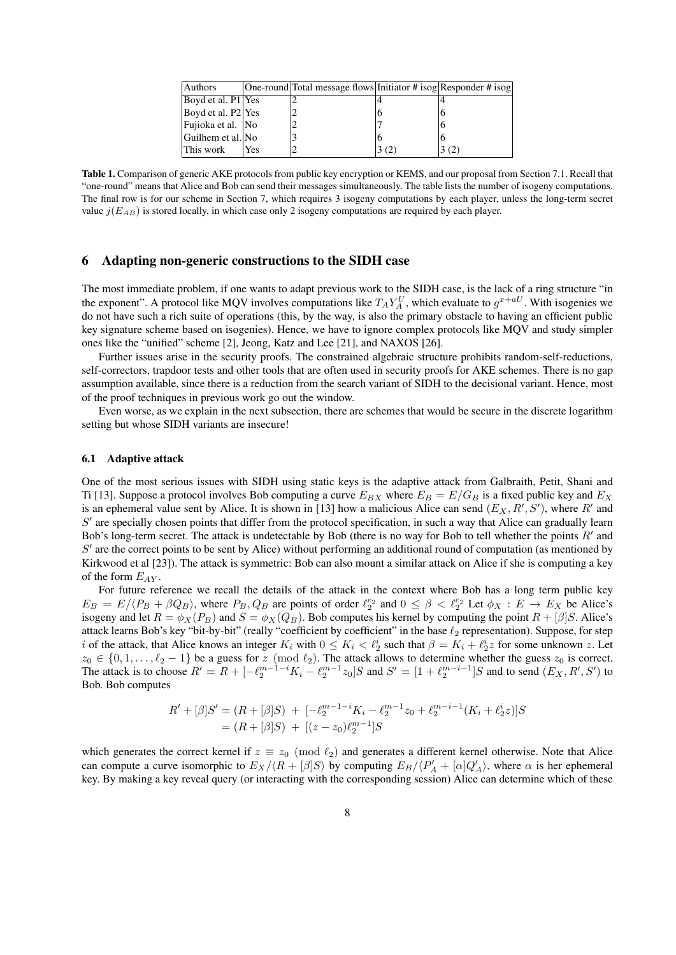| Authors            |     | One-round Total message flows Initiator # isog Responder # isog |  |
|--------------------|-----|-----------------------------------------------------------------|--|
| Boyd et al. P1 Yes |     |                                                                 |  |
| Boyd et al. P2 Yes |     |                                                                 |  |
| Fujioka et al. No  |     |                                                                 |  |
| Guilhem et al. No  |     |                                                                 |  |
| This work          | Yes |                                                                 |  |

Table 1. Comparison of generic AKE protocols from public key encryption or KEMS, and our proposal from Section 7.1. Recall that "one-round" means that Alice and Bob can send their messages simultaneously. The table lists the number of isogeny computations. The final row is for our scheme in Section 7, which requires 3 isogeny computations by each player, unless the long-term secret value  $j(E_{AB})$  is stored locally, in which case only 2 isogeny computations are required by each player.

## 6 Adapting non-generic constructions to the SIDH case

The most immediate problem, if one wants to adapt previous work to the SIDH case, is the lack of a ring structure "in the exponent". A protocol like MQV involves computations like  $T_A Y_A^U$ , which evaluate to  $g^{x+aU}$ . With isogenies we do not have such a rich suite of operations (this, by the way, is also the primary obstacle to having an efficient public key signature scheme based on isogenies). Hence, we have to ignore complex protocols like MQV and study simpler ones like the "unified" scheme [2], Jeong, Katz and Lee [21], and NAXOS [26].

Further issues arise in the security proofs. The constrained algebraic structure prohibits random-self-reductions, self-correctors, trapdoor tests and other tools that are often used in security proofs for AKE schemes. There is no gap assumption available, since there is a reduction from the search variant of SIDH to the decisional variant. Hence, most of the proof techniques in previous work go out the window.

Even worse, as we explain in the next subsection, there are schemes that would be secure in the discrete logarithm setting but whose SIDH variants are insecure!

#### 6.1 Adaptive attack

One of the most serious issues with SIDH using static keys is the adaptive attack from Galbraith, Petit, Shani and Ti [13]. Suppose a protocol involves Bob computing a curve  $E_{BX}$  where  $E_B = E/G_B$  is a fixed public key and  $E_X$ is an ephemeral value sent by Alice. It is shown in [13] how a malicious Alice can send  $(E_X, R', S')$ , where R' and  $S'$  are specially chosen points that differ from the protocol specification, in such a way that Alice can gradually learn Bob's long-term secret. The attack is undetectable by Bob (there is no way for Bob to tell whether the points  $R'$  and  $S'$  are the correct points to be sent by Alice) without performing an additional round of computation (as mentioned by Kirkwood et al [23]). The attack is symmetric: Bob can also mount a similar attack on Alice if she is computing a key of the form  $E_{AY}$ .

For future reference we recall the details of the attack in the context where Bob has a long term public key  $E_B = E / \langle P_B + \beta Q_B \rangle$ , where  $P_B, Q_B$  are points of order  $\ell_2^{e_2}$  and  $0 \le \beta < \ell_2^{e_2}$  Let  $\phi_X : E \to E_X$  be Alice's isogeny and let  $R = \phi_X(P_B)$  and  $S = \phi_X(Q_B)$ . Bob computes his kernel by computing the point  $R + [\beta]S$ . Alice's attack learns Bob's key "bit-by-bit" (really "coefficient by coefficient" in the base  $\ell_2$  representation). Suppose, for step i of the attack, that Alice knows an integer  $K_i$  with  $0 \le K_i < \ell_2^i$  such that  $\beta = K_i + \ell_2^i z$  for some unknown z. Let  $z_0 \in \{0, 1, \ldots, \ell_2 - 1\}$  be a guess for  $z \pmod{\ell_2}$ . The attack allows to determine whether the guess  $z_0$  is correct. The attack is to choose  $R' = R + [-\ell_2^{m-1-i}K_i - \ell_2^{m-1}z_0]S$  and  $S' = [1 + \ell_2^{m-i-1}]S$  and to send  $(E_X, R', S')$  to Bob. Bob computes

$$
R' + [\beta]S' = (R + [\beta]S) + [-\ell_2^{m-1-i}K_i - \ell_2^{m-1}z_0 + \ell_2^{m-i-1}(K_i + \ell_2^i z)]S
$$
  
=  $(R + [\beta]S) + [(z - z_0)\ell_2^{m-1}]S$ 

which generates the correct kernel if  $z \equiv z_0 \pmod{\ell_2}$  and generates a different kernel otherwise. Note that Alice can compute a curve isomorphic to  $E_X/\langle R + [\beta]S \rangle$  by computing  $E_B/\langle P'_A + [\alpha]Q'_A \rangle$ , where  $\alpha$  is her ephemeral key. By making a key reveal query (or interacting with the corresponding session) Alice can determine which of these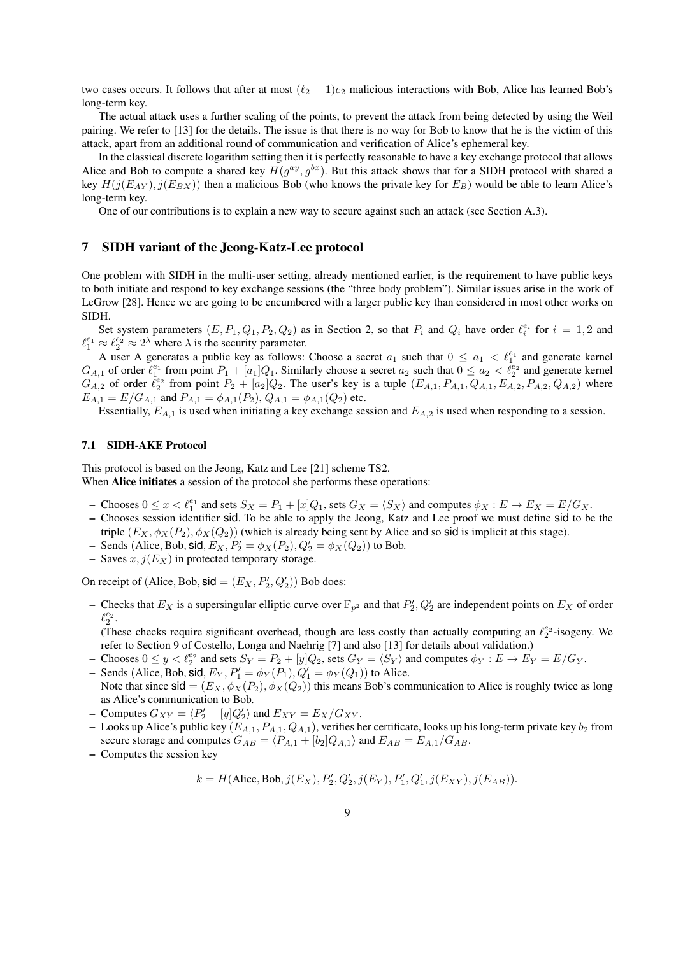two cases occurs. It follows that after at most  $(\ell_2 - 1)e_2$  malicious interactions with Bob, Alice has learned Bob's long-term key.

The actual attack uses a further scaling of the points, to prevent the attack from being detected by using the Weil pairing. We refer to [13] for the details. The issue is that there is no way for Bob to know that he is the victim of this attack, apart from an additional round of communication and verification of Alice's ephemeral key.

In the classical discrete logarithm setting then it is perfectly reasonable to have a key exchange protocol that allows Alice and Bob to compute a shared key  $H(g^{ay}, g^{bx})$ . But this attack shows that for a SIDH protocol with shared a key  $H(j(E_{AY}), j(E_{BX}))$  then a malicious Bob (who knows the private key for  $E_B$ ) would be able to learn Alice's long-term key.

One of our contributions is to explain a new way to secure against such an attack (see Section A.3).

## 7 SIDH variant of the Jeong-Katz-Lee protocol

One problem with SIDH in the multi-user setting, already mentioned earlier, is the requirement to have public keys to both initiate and respond to key exchange sessions (the "three body problem"). Similar issues arise in the work of LeGrow [28]. Hence we are going to be encumbered with a larger public key than considered in most other works on SIDH.

Set system parameters  $(E, P_1, Q_1, P_2, Q_2)$  as in Section 2, so that  $P_i$  and  $Q_i$  have order  $\ell_i^{e_i}$  for  $i = 1, 2$  and  $\ell_1^{e_1} \approx \ell_2^{e_2} \approx 2^{\lambda}$  where  $\lambda$  is the security parameter.

A user A generates a public key as follows: Choose a secret  $a_1$  such that  $0 \le a_1 < \ell_1^{e_1}$  and generate kernel  $G_{A,1}$  of order  $\ell_1^{e_1}$  from point  $P_1 + [a_1]Q_1$ . Similarly choose a secret  $a_2$  such that  $0 \le a_2 < \ell_2^{e_2}$  and generate kernel  $G_{A,2}$  of order  $\ell_2^{e_2}$  from point  $P_2 + [a_2]Q_2$ . The user's key is a tuple  $(E_{A,1}, P_{A,1}, Q_{A,1}, E_{A,2}, P_{A,2}, Q_{A,2})$  where  $E_{A,1} = E/G_{A,1}$  and  $P_{A,1} = \phi_{A,1}(P_2), Q_{A,1} = \phi_{A,1}(Q_2)$  etc.

Essentially,  $E_{A,1}$  is used when initiating a key exchange session and  $E_{A,2}$  is used when responding to a session.

#### 7.1 SIDH-AKE Protocol

This protocol is based on the Jeong, Katz and Lee [21] scheme TS2. When **Alice initiates** a session of the protocol she performs these operations:

- Chooses  $0 \le x < \ell_1^{e_1}$  and sets  $S_X = P_1 + [x]Q_1$ , sets  $G_X = \langle S_X \rangle$  and computes  $\phi_X : E \to E_X = E/G_X$ .
- Chooses session identifier sid. To be able to apply the Jeong, Katz and Lee proof we must define sid to be the triple  $(E_X, \phi_X(P_2), \phi_X(Q_2))$  (which is already being sent by Alice and so sid is implicit at this stage).
- Sends (Alice, Bob, sid,  $E_X$ ,  $P'_2 = \phi_X(P_2)$ ,  $Q'_2 = \phi_X(Q_2)$ ) to Bob.
- Saves  $x, j(E_X)$  in protected temporary storage.

On receipt of (Alice, Bob,  $\text{sid} = (E_X, P'_2, Q'_2)$ ) Bob does:

- Checks that  $E_X$  is a supersingular elliptic curve over  $\mathbb{F}_{p^2}$  and that  $P'_2, Q'_2$  are independent points on  $E_X$  of order  $\ell_2^{e_2}.$
- (These checks require significant overhead, though are less costly than actually computing an  $\ell_2^{e_2}$ -isogeny. We refer to Section 9 of Costello, Longa and Naehrig [7] and also [13] for details about validation.)
- Chooses  $0 \le y < \ell_2^{e_2}$  and sets  $S_Y = P_2 + [y]Q_2$ , sets  $G_Y = \langle S_Y \rangle$  and computes  $\phi_Y : E \to E_Y = E/G_Y$ .
- Sends (Alice, Bob, sid,  $E_Y$ ,  $P'_1 = \phi_Y(P_1)$ ,  $Q'_1 = \phi_Y(Q_1)$ ) to Alice. Note that since  $\text{sid} = (E_X, \phi_X(P_2), \phi_X(Q_2))$  this means Bob's communication to Alice is roughly twice as long as Alice's communication to Bob.
- Computes  $G_{XY} = \langle P_2' + [y]Q_2' \rangle$  and  $E_{XY} = E_X/G_{XY}$ .
- Looks up Alice's public key  $(E_{A,1}, P_{A,1}, Q_{A,1})$ , verifies her certificate, looks up his long-term private key  $b_2$  from secure storage and computes  $G_{AB} = \langle P_{A,1} + [b_2]Q_{A,1} \rangle$  and  $E_{AB} = E_{A,1}/G_{AB}$ .
- Computes the session key

$$
k = H(\text{Alice}, \text{Bob}, j(E_X), P'_2, Q'_2, j(E_Y), P'_1, Q'_1, j(E_{XY}), j(E_{AB})).
$$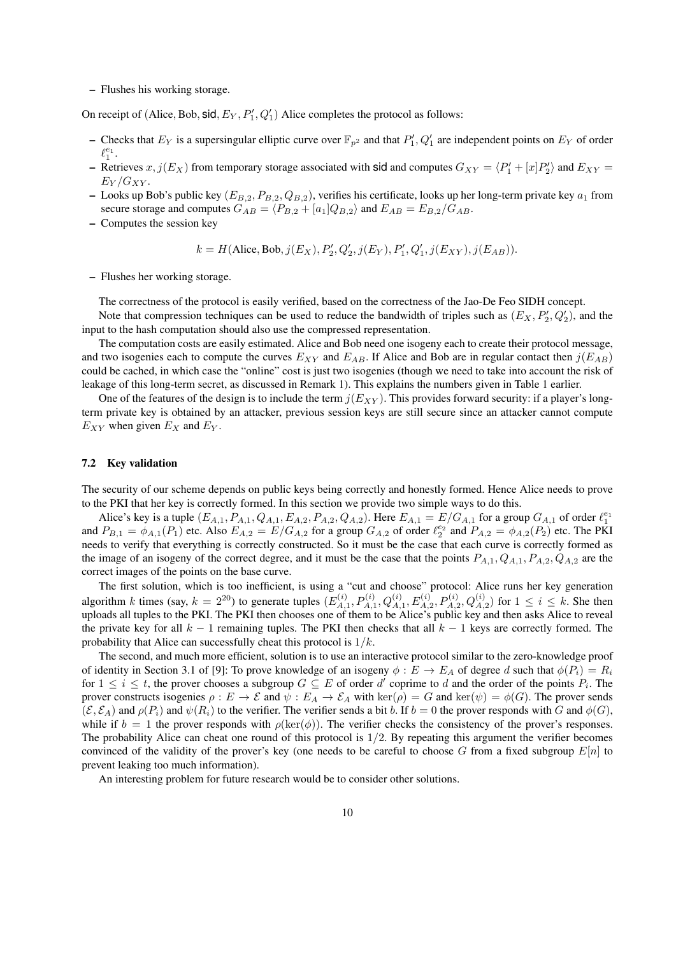– Flushes his working storage.

On receipt of (Alice, Bob, sid,  $E_Y$ ,  $P'_1$ ,  $Q'_1$ ) Alice completes the protocol as follows:

- Checks that  $E_Y$  is a supersingular elliptic curve over  $\mathbb{F}_{p^2}$  and that  $P'_1, Q'_1$  are independent points on  $E_Y$  of order  $\ell_1^{e_1}.$
- Retrieves  $x, j(E_X)$  from temporary storage associated with sid and computes  $G_{XY} = \langle P_1' + [x]P_2' \rangle$  and  $E_{XY} =$  $E_Y/G_{XY}$ .
- Looks up Bob's public key  $(E_{B,2}, P_{B,2}, Q_{B,2})$ , verifies his certificate, looks up her long-term private key  $a_1$  from secure storage and computes  $G_{AB} = \langle P_{B,2} + [a_1]Q_{B,2} \rangle$  and  $E_{AB} = E_{B,2}/G_{AB}$ .
- Computes the session key

$$
k = H(\text{Alice}, \text{Bob}, j(E_X), P'_2, Q'_2, j(E_Y), P'_1, Q'_1, j(E_{XY}), j(E_{AB})).
$$

– Flushes her working storage.

The correctness of the protocol is easily verified, based on the correctness of the Jao-De Feo SIDH concept.

Note that compression techniques can be used to reduce the bandwidth of triples such as  $(E_X, P'_2, Q'_2)$ , and the input to the hash computation should also use the compressed representation.

The computation costs are easily estimated. Alice and Bob need one isogeny each to create their protocol message, and two isogenies each to compute the curves  $E_{XY}$  and  $E_{AB}$ . If Alice and Bob are in regular contact then  $j(E_{AB})$ could be cached, in which case the "online" cost is just two isogenies (though we need to take into account the risk of leakage of this long-term secret, as discussed in Remark 1). This explains the numbers given in Table 1 earlier.

One of the features of the design is to include the term  $j(E_{XY})$ . This provides forward security: if a player's longterm private key is obtained by an attacker, previous session keys are still secure since an attacker cannot compute  $E_{XY}$  when given  $E_X$  and  $E_Y$ .

#### 7.2 Key validation

The security of our scheme depends on public keys being correctly and honestly formed. Hence Alice needs to prove to the PKI that her key is correctly formed. In this section we provide two simple ways to do this.

Alice's key is a tuple  $(E_{A,1}, P_{A,1}, Q_{A,1}, E_{A,2}, P_{A,2}, Q_{A,2})$ . Here  $E_{A,1} = E/G_{A,1}$  for a group  $G_{A,1}$  of order  $\ell_1^{e_1}$ and  $P_{B,1} = \phi_{A,1}(P_1)$  etc. Also  $E_{A,2} = E/G_{A,2}$  for a group  $G_{A,2}$  of order  $\ell_2^{e_2}$  and  $P_{A,2} = \phi_{A,2}(P_2)$  etc. The PKI needs to verify that everything is correctly constructed. So it must be the case that each curve is correctly formed as the image of an isogeny of the correct degree, and it must be the case that the points  $P_{A,1}, Q_{A,1}, P_{A,2}, Q_{A,2}$  are the correct images of the points on the base curve.

The first solution, which is too inefficient, is using a "cut and choose" protocol: Alice runs her key generation algorithm k times (say,  $k = 2^{20}$ ) to generate tuples  $(E_A^{(i)})$  $P_{A,1}^{(i)}, P_{A,1}^{(i)}, Q_{A,1}^{(i)}, E_{A,2}^{(i)}, P_{A,2}^{(i)}, Q_{A,2}^{(i)}$  for  $1 \le i \le k$ . She then uploads all tuples to the PKI. The PKI then chooses one of them to be Alice's public key and then asks Alice to reveal the private key for all  $k - 1$  remaining tuples. The PKI then checks that all  $k - 1$  keys are correctly formed. The probability that Alice can successfully cheat this protocol is  $1/k$ .

The second, and much more efficient, solution is to use an interactive protocol similar to the zero-knowledge proof of identity in Section 3.1 of [9]: To prove knowledge of an isogeny  $\phi : E \to E_A$  of degree d such that  $\phi(P_i) = R_i$ for  $1 \leq i \leq t$ , the prover chooses a subgroup  $G \subseteq E$  of order d' coprime to d and the order of the points  $P_i$ . The prover constructs isogenies  $\rho : E \to \mathcal{E}$  and  $\psi : E_A \to \mathcal{E}_A$  with  $\ker(\rho) = G$  and  $\ker(\psi) = \phi(G)$ . The prover sends  $(\mathcal{E}, \mathcal{E}_A)$  and  $\rho(P_i)$  and  $\psi(R_i)$  to the verifier. The verifier sends a bit b. If  $b = 0$  the prover responds with G and  $\phi(G)$ , while if  $b = 1$  the prover responds with  $\rho(\ker(\phi))$ . The verifier checks the consistency of the prover's responses. The probability Alice can cheat one round of this protocol is  $1/2$ . By repeating this argument the verifier becomes convinced of the validity of the prover's key (one needs to be careful to choose G from a fixed subgroup  $E[n]$  to prevent leaking too much information).

An interesting problem for future research would be to consider other solutions.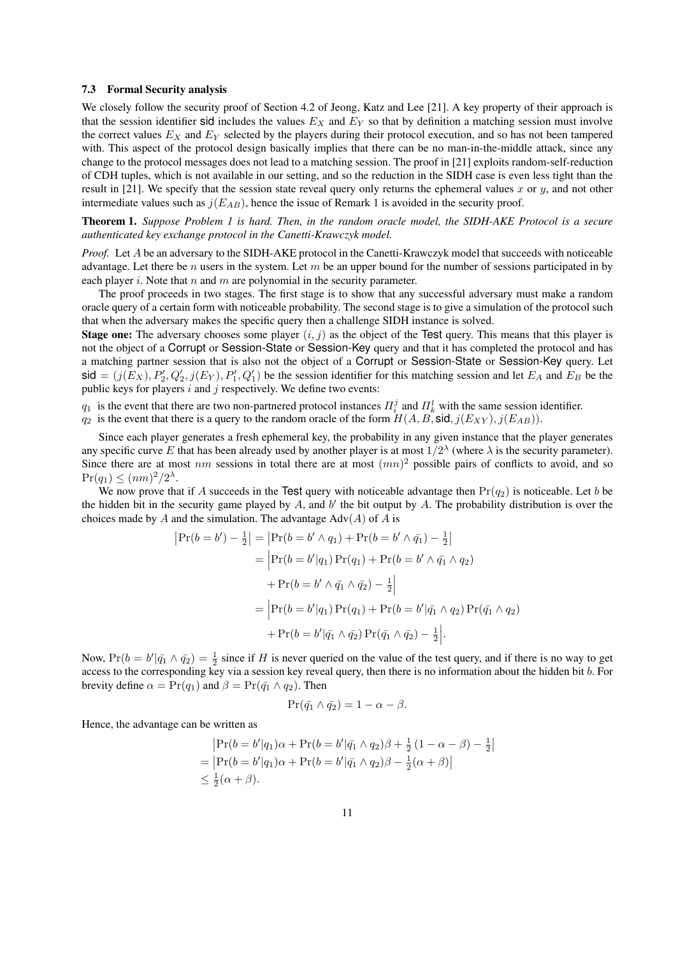#### 7.3 Formal Security analysis

We closely follow the security proof of Section 4.2 of Jeong, Katz and Lee [21]. A key property of their approach is that the session identifier sid includes the values  $E<sub>X</sub>$  and  $E<sub>Y</sub>$  so that by definition a matching session must involve the correct values  $E_X$  and  $E_Y$  selected by the players during their protocol execution, and so has not been tampered with. This aspect of the protocol design basically implies that there can be no man-in-the-middle attack, since any change to the protocol messages does not lead to a matching session. The proof in [21] exploits random-self-reduction of CDH tuples, which is not available in our setting, and so the reduction in the SIDH case is even less tight than the result in [21]. We specify that the session state reveal query only returns the ephemeral values x or y, and not other intermediate values such as  $j(E_{AB})$ , hence the issue of Remark 1 is avoided in the security proof.

Theorem 1. *Suppose Problem 1 is hard. Then, in the random oracle model, the SIDH-AKE Protocol is a secure authenticated key exchange protocol in the Canetti-Krawczyk model.*

*Proof.* Let A be an adversary to the SIDH-AKE protocol in the Canetti-Krawczyk model that succeeds with noticeable advantage. Let there be n users in the system. Let  $m$  be an upper bound for the number of sessions participated in by each player i. Note that n and m are polynomial in the security parameter.

The proof proceeds in two stages. The first stage is to show that any successful adversary must make a random oracle query of a certain form with noticeable probability. The second stage is to give a simulation of the protocol such that when the adversary makes the specific query then a challenge SIDH instance is solved.

**Stage one:** The adversary chooses some player  $(i, j)$  as the object of the Test query. This means that this player is not the object of a Corrupt or Session-State or Session-Key query and that it has completed the protocol and has a matching partner session that is also not the object of a Corrupt or Session-State or Session-Key query. Let  $\text{sid} = (j(E_X), P'_1, Q'_2, j(E_Y), P'_1, Q'_1)$  be the session identifier for this matching session and let  $E_A$  and  $E_B$  be the public keys for players  $i$  and  $j$  respectively. We define two events:

 $q_1$  is the event that there are two non-partnered protocol instances  $\Pi_i^j$  and  $\Pi_k^l$  with the same session identifier.

 $q_2$  is the event that there is a query to the random oracle of the form  $H(A, B, \text{sid}, j(E_{XY}), j(E_{AB}))$ .

Since each player generates a fresh ephemeral key, the probability in any given instance that the player generates any specific curve E that has been already used by another player is at most  $1/2^{\lambda}$  (where  $\lambda$  is the security parameter). Since there are at most nm sessions in total there are at most  $(mn)^2$  possible pairs of conflicts to avoid, and so  $Pr(q_1) \leq (nm)^2/2^{\lambda}.$ 

We now prove that if A succeeds in the Test query with noticeable advantage then  $Pr(q_2)$  is noticeable. Let b be the hidden bit in the security game played by  $A$ , and  $b'$  the bit output by  $A$ . The probability distribution is over the choices made by A and the simulation. The advantage  $Adv(A)$  of A is

$$
|\Pr(b = b') - \frac{1}{2}| = |\Pr(b = b' \land q_1) + \Pr(b = b' \land \bar{q_1}) - \frac{1}{2}|
$$
  
=  $|\Pr(b = b'|q_1) \Pr(q_1) + \Pr(b = b' \land \bar{q_1} \land q_2)$   
+  $\Pr(b = b' \land \bar{q_1} \land \bar{q_2}) - \frac{1}{2}|$   
=  $|\Pr(b = b'|q_1) \Pr(q_1) + \Pr(b = b'|\bar{q_1} \land q_2) \Pr(\bar{q_1} \land q_2)$   
+  $\Pr(b = b'|\bar{q_1} \land \bar{q_2}) \Pr(\bar{q_1} \land \bar{q_2}) - \frac{1}{2}|.$ 

Now,  $Pr(b = b' | \bar{q_1} \wedge \bar{q_2}) = \frac{1}{2}$  since if H is never queried on the value of the test query, and if there is no way to get access to the corresponding key via a session key reveal query, then there is no information about the hidden bit b. For brevity define  $\alpha = \Pr(q_1)$  and  $\beta = \Pr(\bar{q_1} \wedge q_2)$ . Then

$$
\Pr(\bar{q_1} \land \bar{q_2}) = 1 - \alpha - \beta.
$$

Hence, the advantage can be written as

$$
|\Pr(b = b'|q_1)\alpha + \Pr(b = b'|\bar{q_1} \wedge q_2)\beta + \frac{1}{2}(1 - \alpha - \beta) - \frac{1}{2}|
$$
  
= 
$$
|\Pr(b = b'|q_1)\alpha + \Pr(b = b'|\bar{q_1} \wedge q_2)\beta - \frac{1}{2}(\alpha + \beta)|
$$
  

$$
\leq \frac{1}{2}(\alpha + \beta).
$$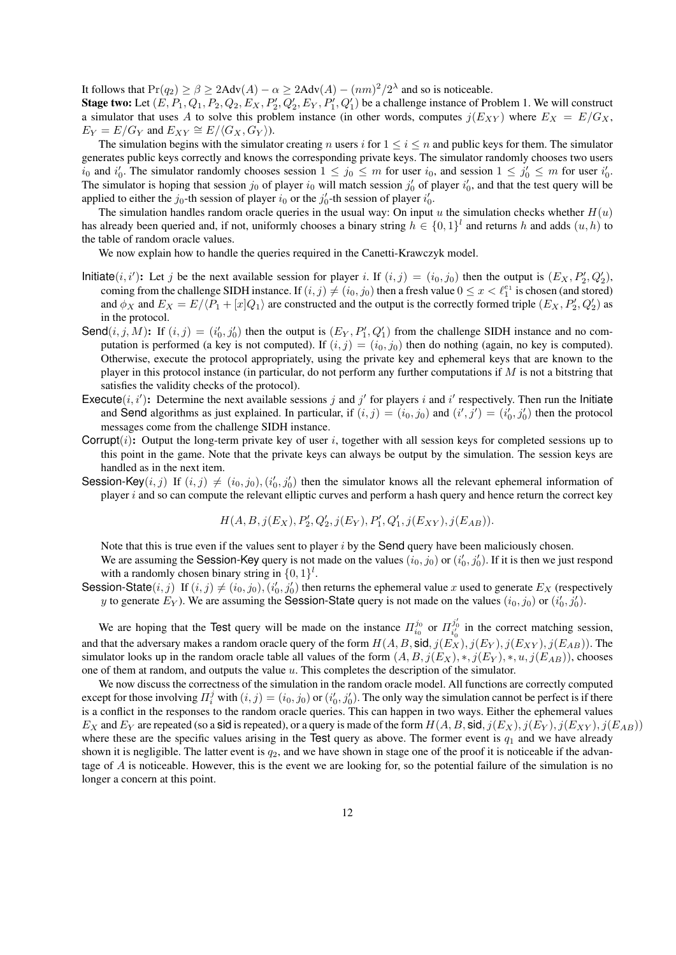It follows that  $Pr(q_2) \ge \beta \ge 2Adv(A) - \alpha \ge 2Adv(A) - (nm)^2/2^{\lambda}$  and so is noticeable.

**Stage two:** Let  $(E, P_1, Q_1, P_2, Q_2, E_X, P'_2, Q'_2, E_Y, P'_1, Q'_1)$  be a challenge instance of Problem 1. We will construct a simulator that uses A to solve this problem instance (in other words, computes  $j(E_{XY})$  where  $E_X = E/G_X$ ,  $E_Y = E/G_Y$  and  $E_{XY} \cong E/\langle G_X, G_Y \rangle$ ).

The simulation begins with the simulator creating n users i for  $1 \le i \le n$  and public keys for them. The simulator generates public keys correctly and knows the corresponding private keys. The simulator randomly chooses two users  $i_0$  and  $i'_0$ . The simulator randomly chooses session  $1 \le j_0 \le m$  for user  $i_0$ , and session  $1 \le j'_0 \le m$  for user  $i'_0$ . The simulator is hoping that session  $j_0$  of player  $i_0$  will match session  $j'_0$  of player  $i'_0$ , and that the test query will be applied to either the  $j_0$ -th session of player  $i_0$  or the  $j'_0$ -th session of player  $i'_0$ .

The simulation handles random oracle queries in the usual way: On input u the simulation checks whether  $H(u)$ has already been queried and, if not, uniformly chooses a binary string  $h \in \{0,1\}^l$  and returns h and adds  $(u,h)$  to the table of random oracle values.

We now explain how to handle the queries required in the Canetti-Krawczyk model.

- Initiate(i, i'): Let j be the next available session for player i. If  $(i, j) = (i_0, j_0)$  then the output is  $(E_X, P'_2, Q'_2)$ , coming from the challenge SIDH instance. If  $(i, j) \neq (i_0, j_0)$  then a fresh value  $0 \leq x < \ell_1^{e_1}$  is chosen (and stored) and  $\phi_X$  and  $E_X = E/(P_1 + [x]Q_1)$  are constructed and the output is the correctly formed triple  $(E_X, P'_2, Q'_2)$  as in the protocol.
- Send $(i, j, M)$ : If  $(i, j) = (i'_0, j'_0)$  then the output is  $(E_Y, P'_1, Q'_1)$  from the challenge SIDH instance and no computation is performed (a key is not computed). If  $(i, j) = (i_0, j_0)$  then do nothing (again, no key is computed). Otherwise, execute the protocol appropriately, using the private key and ephemeral keys that are known to the player in this protocol instance (in particular, do not perform any further computations if  $M$  is not a bitstring that satisfies the validity checks of the protocol).
- Execute $(i, i')$ : Determine the next available sessions j and j' for players i and i' respectively. Then run the Initiate and Send algorithms as just explained. In particular, if  $(i, j) = (i_0, j_0)$  and  $(i', j') = (i'_0, j'_0)$  then the protocol messages come from the challenge SIDH instance.
- Corrupt $(i)$ : Output the long-term private key of user i, together with all session keys for completed sessions up to this point in the game. Note that the private keys can always be output by the simulation. The session keys are handled as in the next item.
- Session-Key $(i, j)$  If  $(i, j) \neq (i_0, j_0), (i'_0, j'_0)$  then the simulator knows all the relevant ephemeral information of player i and so can compute the relevant elliptic curves and perform a hash query and hence return the correct key

$$
H(A, B, j(E_X), P'_2, Q'_2, j(E_Y), P'_1, Q'_1, j(E_{XY}), j(E_{AB})).
$$

Note that this is true even if the values sent to player  $i$  by the Send query have been maliciously chosen.

We are assuming the Session-Key query is not made on the values  $(i_0, j_0)$  or  $(i'_0, j'_0)$ . If it is then we just respond with a randomly chosen binary string in  $\{0, 1\}^l$ .

Session-State $(i, j)$  If  $(i, j) \neq (i_0, j_0), (i'_0, j'_0)$  then returns the ephemeral value x used to generate  $E_X$  (respectively y to generate  $E_Y$ ). We are assuming the Session-State query is not made on the values  $(i_0, j_0)$  or  $(i'_0, j'_0)$ .

We are hoping that the Test query will be made on the instance  $\Pi_{i_0}^{j_0}$  or  $\Pi_{i'_0}^{j'_0}$  in the correct matching session, and that the adversary makes a random oracle query of the form  $H(A, B, \text{sid}, j(E_X), j(E_Y), j(E_{XY}), j(E_{AB}))$ . The simulator looks up in the random oracle table all values of the form  $(A, B, j(E_X), *, j(E_Y), *, u, j(E_{AB}))$ , chooses one of them at random, and outputs the value  $u$ . This completes the description of the simulator.

We now discuss the correctness of the simulation in the random oracle model. All functions are correctly computed except for those involving  $\Pi_i^j$  with  $(i, j) = (i_0, j_0)$  or  $(i'_0, j'_0)$ . The only way the simulation cannot be perfect is if there is a conflict in the responses to the random oracle queries. This can happen in two ways. Either the ephemeral values  $E_X$  and  $E_Y$  are repeated (so a sid is repeated), or a query is made of the form  $H(A, B, \text{sid}, j(E_X), j(E_Y), j(E_{XY}), j(E_{AB}))$ where these are the specific values arising in the Test query as above. The former event is  $q_1$  and we have already shown it is negligible. The latter event is  $q_2$ , and we have shown in stage one of the proof it is noticeable if the advantage of  $A$  is noticeable. However, this is the event we are looking for, so the potential failure of the simulation is no longer a concern at this point.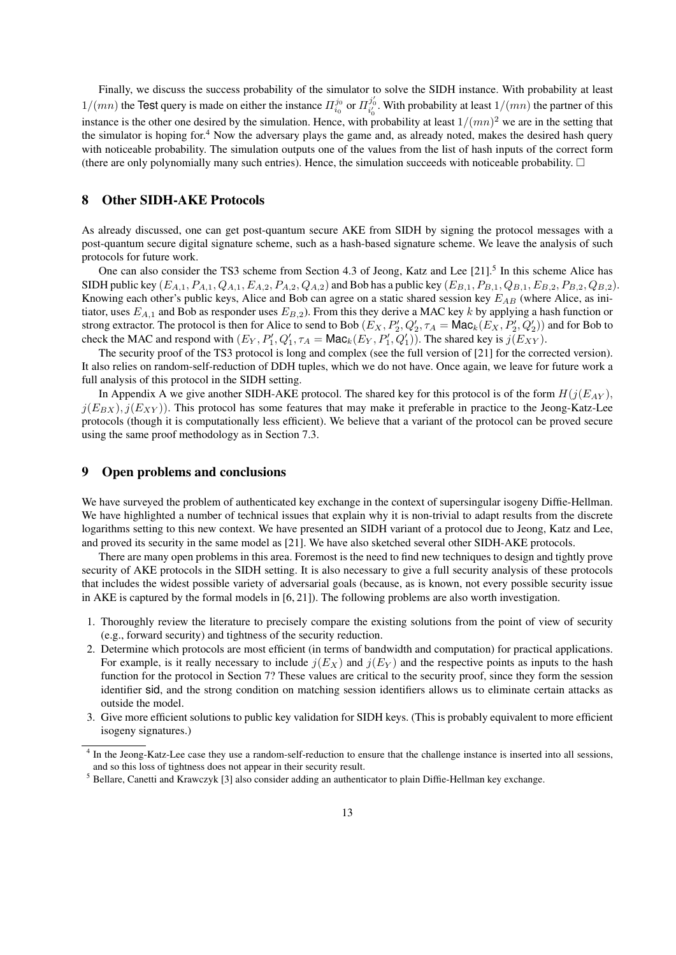Finally, we discuss the success probability of the simulator to solve the SIDH instance. With probability at least  $1/(mn)$  the Test query is made on either the instance  $\Pi_{i_0}^{j_0}$  or  $\Pi_{i'_0}^{j'_0}$ . With probability at least  $1/(mn)$  the partner of this instance is the other one desired by the simulation. Hence, with probability at least  $1/(mn)^2$  we are in the setting that the simulator is hoping for.<sup>4</sup> Now the adversary plays the game and, as already noted, makes the desired hash query with noticeable probability. The simulation outputs one of the values from the list of hash inputs of the correct form (there are only polynomially many such entries). Hence, the simulation succeeds with noticeable probability.  $\Box$ 

## 8 Other SIDH-AKE Protocols

As already discussed, one can get post-quantum secure AKE from SIDH by signing the protocol messages with a post-quantum secure digital signature scheme, such as a hash-based signature scheme. We leave the analysis of such protocols for future work.

One can also consider the TS3 scheme from Section 4.3 of Jeong, Katz and Lee [21].<sup>5</sup> In this scheme Alice has SIDH public key  $(E_{A,1}, P_{A,1}, Q_{A,1}, E_{A,2}, P_{A,2}, Q_{A,2})$  and Bob has a public key  $(E_{B,1}, P_{B,1}, Q_{B,1}, E_{B,2}, P_{B,2}, Q_{B,2})$ . Knowing each other's public keys, Alice and Bob can agree on a static shared session key  $E_{AB}$  (where Alice, as initiator, uses  $E_{A,1}$  and Bob as responder uses  $E_{B,2}$ ). From this they derive a MAC key k by applying a hash function or strong extractor. The protocol is then for Alice to send to Bob  $(E_X, P'_2, Q'_2, \tau_A = \mathsf{Mac}_k(E_X, P'_2, Q'_2))$  and for Bob to check the MAC and respond with  $(E_Y, P'_1, Q'_1, \tau_A = \text{Mac}_k(E_Y, P'_1, Q'_1)$ ). The shared key is  $j(E_{XY})$ .

The security proof of the TS3 protocol is long and complex (see the full version of [21] for the corrected version). It also relies on random-self-reduction of DDH tuples, which we do not have. Once again, we leave for future work a full analysis of this protocol in the SIDH setting.

In Appendix A we give another SIDH-AKE protocol. The shared key for this protocol is of the form  $H(j(E_{AY}))$ ,  $j(E_{BX})$ ,  $j(E_{XY})$ ). This protocol has some features that may make it preferable in practice to the Jeong-Katz-Lee protocols (though it is computationally less efficient). We believe that a variant of the protocol can be proved secure using the same proof methodology as in Section 7.3.

## 9 Open problems and conclusions

We have surveyed the problem of authenticated key exchange in the context of supersingular isogeny Diffie-Hellman. We have highlighted a number of technical issues that explain why it is non-trivial to adapt results from the discrete logarithms setting to this new context. We have presented an SIDH variant of a protocol due to Jeong, Katz and Lee, and proved its security in the same model as [21]. We have also sketched several other SIDH-AKE protocols.

There are many open problems in this area. Foremost is the need to find new techniques to design and tightly prove security of AKE protocols in the SIDH setting. It is also necessary to give a full security analysis of these protocols that includes the widest possible variety of adversarial goals (because, as is known, not every possible security issue in AKE is captured by the formal models in [6, 21]). The following problems are also worth investigation.

- 1. Thoroughly review the literature to precisely compare the existing solutions from the point of view of security (e.g., forward security) and tightness of the security reduction.
- 2. Determine which protocols are most efficient (in terms of bandwidth and computation) for practical applications. For example, is it really necessary to include  $j(E_X)$  and  $j(E_Y)$  and the respective points as inputs to the hash function for the protocol in Section 7? These values are critical to the security proof, since they form the session identifier sid, and the strong condition on matching session identifiers allows us to eliminate certain attacks as outside the model.
- 3. Give more efficient solutions to public key validation for SIDH keys. (This is probably equivalent to more efficient isogeny signatures.)

<sup>&</sup>lt;sup>4</sup> In the Jeong-Katz-Lee case they use a random-self-reduction to ensure that the challenge instance is inserted into all sessions, and so this loss of tightness does not appear in their security result.

<sup>5</sup> Bellare, Canetti and Krawczyk [3] also consider adding an authenticator to plain Diffie-Hellman key exchange.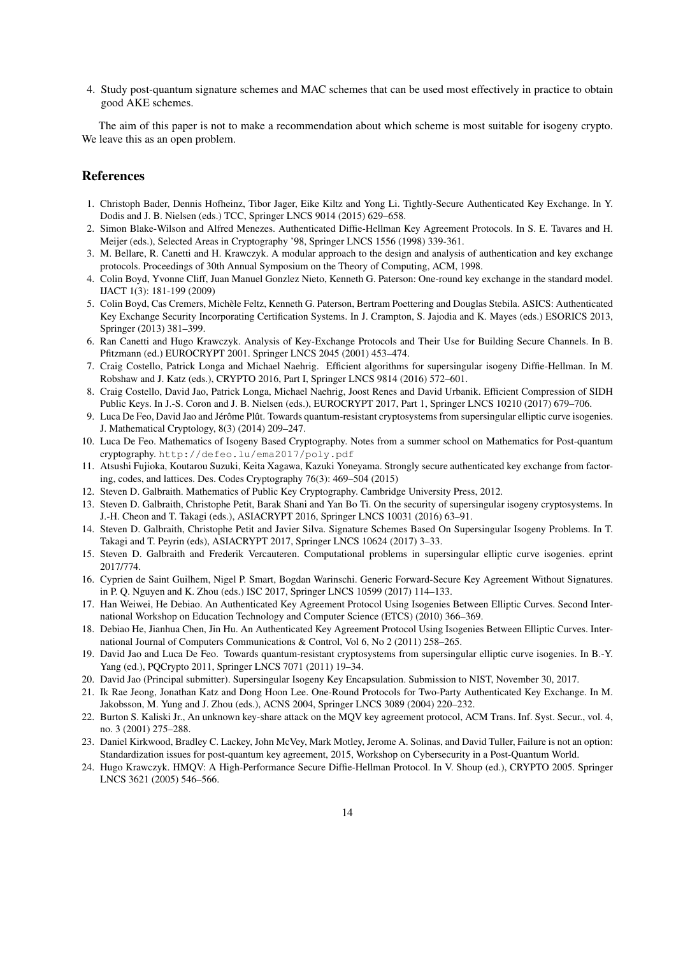4. Study post-quantum signature schemes and MAC schemes that can be used most effectively in practice to obtain good AKE schemes.

The aim of this paper is not to make a recommendation about which scheme is most suitable for isogeny crypto. We leave this as an open problem.

## References

- 1. Christoph Bader, Dennis Hofheinz, Tibor Jager, Eike Kiltz and Yong Li. Tightly-Secure Authenticated Key Exchange. In Y. Dodis and J. B. Nielsen (eds.) TCC, Springer LNCS 9014 (2015) 629–658.
- 2. Simon Blake-Wilson and Alfred Menezes. Authenticated Diffie-Hellman Key Agreement Protocols. In S. E. Tavares and H. Meijer (eds.), Selected Areas in Cryptography '98, Springer LNCS 1556 (1998) 339-361.
- 3. M. Bellare, R. Canetti and H. Krawczyk. A modular approach to the design and analysis of authentication and key exchange protocols. Proceedings of 30th Annual Symposium on the Theory of Computing, ACM, 1998.
- 4. Colin Boyd, Yvonne Cliff, Juan Manuel Gonzlez Nieto, Kenneth G. Paterson: One-round key exchange in the standard model. IJACT 1(3): 181-199 (2009)
- 5. Colin Boyd, Cas Cremers, Michele Feltz, Kenneth G. Paterson, Bertram Poettering and Douglas Stebila. ASICS: Authenticated ` Key Exchange Security Incorporating Certification Systems. In J. Crampton, S. Jajodia and K. Mayes (eds.) ESORICS 2013, Springer (2013) 381–399.
- 6. Ran Canetti and Hugo Krawczyk. Analysis of Key-Exchange Protocols and Their Use for Building Secure Channels. In B. Pfitzmann (ed.) EUROCRYPT 2001. Springer LNCS 2045 (2001) 453–474.
- 7. Craig Costello, Patrick Longa and Michael Naehrig. Efficient algorithms for supersingular isogeny Diffie-Hellman. In M. Robshaw and J. Katz (eds.), CRYPTO 2016, Part I, Springer LNCS 9814 (2016) 572–601.
- 8. Craig Costello, David Jao, Patrick Longa, Michael Naehrig, Joost Renes and David Urbanik. Efficient Compression of SIDH Public Keys. In J.-S. Coron and J. B. Nielsen (eds.), EUROCRYPT 2017, Part 1, Springer LNCS 10210 (2017) 679–706.
- 9. Luca De Feo, David Jao and Jérôme Plût. Towards quantum-resistant cryptosystems from supersingular elliptic curve isogenies. J. Mathematical Cryptology, 8(3) (2014) 209–247.
- 10. Luca De Feo. Mathematics of Isogeny Based Cryptography. Notes from a summer school on Mathematics for Post-quantum cryptography. http://defeo.lu/ema2017/poly.pdf
- 11. Atsushi Fujioka, Koutarou Suzuki, Keita Xagawa, Kazuki Yoneyama. Strongly secure authenticated key exchange from factoring, codes, and lattices. Des. Codes Cryptography 76(3): 469–504 (2015)
- 12. Steven D. Galbraith. Mathematics of Public Key Cryptography. Cambridge University Press, 2012.
- 13. Steven D. Galbraith, Christophe Petit, Barak Shani and Yan Bo Ti. On the security of supersingular isogeny cryptosystems. In J.-H. Cheon and T. Takagi (eds.), ASIACRYPT 2016, Springer LNCS 10031 (2016) 63–91.
- 14. Steven D. Galbraith, Christophe Petit and Javier Silva. Signature Schemes Based On Supersingular Isogeny Problems. In T. Takagi and T. Peyrin (eds), ASIACRYPT 2017, Springer LNCS 10624 (2017) 3–33.
- 15. Steven D. Galbraith and Frederik Vercauteren. Computational problems in supersingular elliptic curve isogenies. eprint 2017/774.
- 16. Cyprien de Saint Guilhem, Nigel P. Smart, Bogdan Warinschi. Generic Forward-Secure Key Agreement Without Signatures. in P. Q. Nguyen and K. Zhou (eds.) ISC 2017, Springer LNCS 10599 (2017) 114–133.
- 17. Han Weiwei, He Debiao. An Authenticated Key Agreement Protocol Using Isogenies Between Elliptic Curves. Second International Workshop on Education Technology and Computer Science (ETCS) (2010) 366–369.
- 18. Debiao He, Jianhua Chen, Jin Hu. An Authenticated Key Agreement Protocol Using Isogenies Between Elliptic Curves. International Journal of Computers Communications & Control, Vol 6, No 2 (2011) 258–265.
- 19. David Jao and Luca De Feo. Towards quantum-resistant cryptosystems from supersingular elliptic curve isogenies. In B.-Y. Yang (ed.), PQCrypto 2011, Springer LNCS 7071 (2011) 19–34.
- 20. David Jao (Principal submitter). Supersingular Isogeny Key Encapsulation. Submission to NIST, November 30, 2017.
- 21. Ik Rae Jeong, Jonathan Katz and Dong Hoon Lee. One-Round Protocols for Two-Party Authenticated Key Exchange. In M. Jakobsson, M. Yung and J. Zhou (eds.), ACNS 2004, Springer LNCS 3089 (2004) 220–232.
- 22. Burton S. Kaliski Jr., An unknown key-share attack on the MQV key agreement protocol, ACM Trans. Inf. Syst. Secur., vol. 4, no. 3 (2001) 275–288.
- 23. Daniel Kirkwood, Bradley C. Lackey, John McVey, Mark Motley, Jerome A. Solinas, and David Tuller, Failure is not an option: Standardization issues for post-quantum key agreement, 2015, Workshop on Cybersecurity in a Post-Quantum World.
- 24. Hugo Krawczyk. HMQV: A High-Performance Secure Diffie-Hellman Protocol. In V. Shoup (ed.), CRYPTO 2005. Springer LNCS 3621 (2005) 546–566.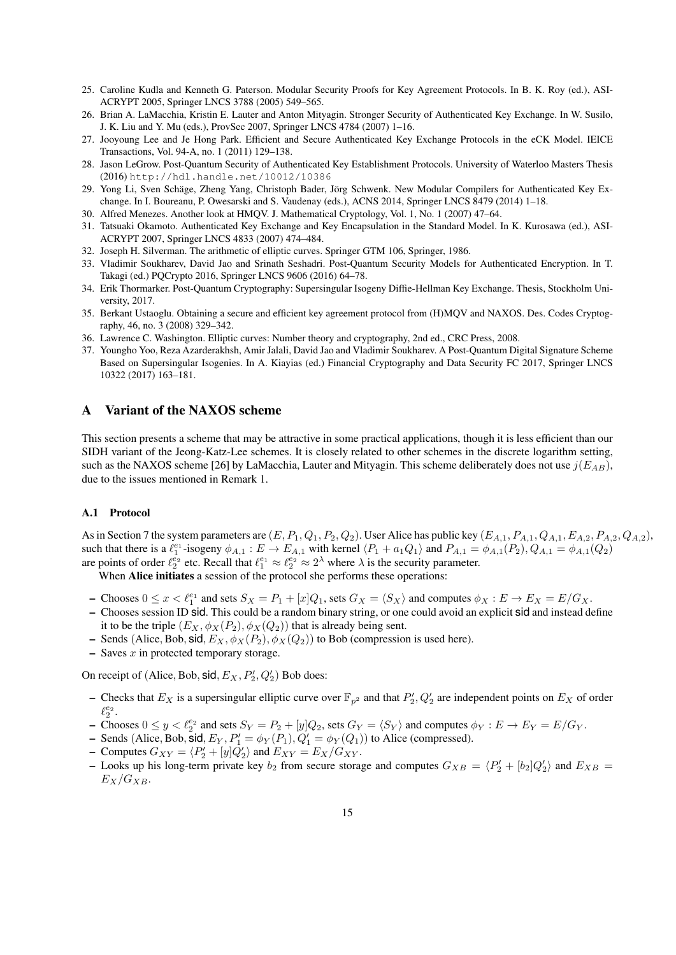- 25. Caroline Kudla and Kenneth G. Paterson. Modular Security Proofs for Key Agreement Protocols. In B. K. Roy (ed.), ASI-ACRYPT 2005, Springer LNCS 3788 (2005) 549–565.
- 26. Brian A. LaMacchia, Kristin E. Lauter and Anton Mityagin. Stronger Security of Authenticated Key Exchange. In W. Susilo, J. K. Liu and Y. Mu (eds.), ProvSec 2007, Springer LNCS 4784 (2007) 1–16.
- 27. Jooyoung Lee and Je Hong Park. Efficient and Secure Authenticated Key Exchange Protocols in the eCK Model. IEICE Transactions, Vol. 94-A, no. 1 (2011) 129–138.
- 28. Jason LeGrow. Post-Quantum Security of Authenticated Key Establishment Protocols. University of Waterloo Masters Thesis (2016) http://hdl.handle.net/10012/10386
- 29. Yong Li, Sven Schäge, Zheng Yang, Christoph Bader, Jörg Schwenk. New Modular Compilers for Authenticated Key Exchange. In I. Boureanu, P. Owesarski and S. Vaudenay (eds.), ACNS 2014, Springer LNCS 8479 (2014) 1–18.
- 30. Alfred Menezes. Another look at HMQV. J. Mathematical Cryptology, Vol. 1, No. 1 (2007) 47–64.
- 31. Tatsuaki Okamoto. Authenticated Key Exchange and Key Encapsulation in the Standard Model. In K. Kurosawa (ed.), ASI-ACRYPT 2007, Springer LNCS 4833 (2007) 474–484.
- 32. Joseph H. Silverman. The arithmetic of elliptic curves. Springer GTM 106, Springer, 1986.
- 33. Vladimir Soukharev, David Jao and Srinath Seshadri. Post-Quantum Security Models for Authenticated Encryption. In T. Takagi (ed.) PQCrypto 2016, Springer LNCS 9606 (2016) 64–78.
- 34. Erik Thormarker. Post-Quantum Cryptography: Supersingular Isogeny Diffie-Hellman Key Exchange. Thesis, Stockholm University, 2017.
- 35. Berkant Ustaoglu. Obtaining a secure and efficient key agreement protocol from (H)MQV and NAXOS. Des. Codes Cryptography, 46, no. 3 (2008) 329–342.
- 36. Lawrence C. Washington. Elliptic curves: Number theory and cryptography, 2nd ed., CRC Press, 2008.
- 37. Youngho Yoo, Reza Azarderakhsh, Amir Jalali, David Jao and Vladimir Soukharev. A Post-Quantum Digital Signature Scheme Based on Supersingular Isogenies. In A. Kiayias (ed.) Financial Cryptography and Data Security FC 2017, Springer LNCS 10322 (2017) 163–181.

## A Variant of the NAXOS scheme

This section presents a scheme that may be attractive in some practical applications, though it is less efficient than our SIDH variant of the Jeong-Katz-Lee schemes. It is closely related to other schemes in the discrete logarithm setting, such as the NAXOS scheme [26] by LaMacchia, Lauter and Mityagin. This scheme deliberately does not use  $j(E_{AB})$ , due to the issues mentioned in Remark 1.

#### A.1 Protocol

As in Section 7 the system parameters are  $(E, P_1, Q_1, P_2, Q_2)$ . User Alice has public key  $(E_{A,1}, P_{A,1}, Q_{A,1}, E_{A,2}, P_{A,2}, Q_{A,2})$ , such that there is a  $\ell_1^{e_1}$ -isogeny  $\phi_{A,1} : E \to E_{A,1}$  with kernel  $\langle P_1 + a_1 Q_1 \rangle$  and  $P_{A,1} = \phi_{A,1}(P_2), Q_{A,1} = \phi_{A,1}(Q_2)$ are points of order  $\ell_2^{e_2}$  etc. Recall that  $\ell_1^{e_1} \approx \ell_2^{e_2} \approx 2^{\lambda}$  where  $\lambda$  is the security parameter.

When Alice initiates a session of the protocol she performs these operations:

- Chooses  $0 \le x < \ell_1^{e_1}$  and sets  $S_X = P_1 + [x]Q_1$ , sets  $G_X = \langle S_X \rangle$  and computes  $\phi_X : E \to E_X = E/G_X$ .
- Chooses session ID sid. This could be a random binary string, or one could avoid an explicit sid and instead define it to be the triple  $(E_X, \phi_X(P_2), \phi_X(Q_2))$  that is already being sent.
- Sends (Alice, Bob, sid,  $E_X$ ,  $\phi_X(P_2)$ ,  $\phi_X(Q_2)$ ) to Bob (compression is used here).
- $-$  Saves  $x$  in protected temporary storage.

On receipt of (Alice, Bob, sid,  $E_X$ ,  $P'_2$ ,  $Q'_2$ ) Bob does:

- Checks that  $E_X$  is a supersingular elliptic curve over  $\mathbb{F}_{p^2}$  and that  $P'_2, Q'_2$  are independent points on  $E_X$  of order  $\ell_2^{e_2}.$
- Chooses  $0 \le y < \ell_2^{e_2}$  and sets  $S_Y = P_2 + [y]Q_2$ , sets  $G_Y = \langle S_Y \rangle$  and computes  $\phi_Y : E \to E_Y = E/G_Y$ .
- Sends (Alice, Bob, sid,  $E_Y$ ,  $P'_1 = \phi_Y(P_1)$ ,  $Q'_1 = \phi_Y(Q_1)$ ) to Alice (compressed).
- Computes  $G_{XY} = \langle P_2' + [y]Q_2' \rangle$  and  $E_{XY} = E_X/G_{XY}$ .
- Looks up his long-term private key  $b_2$  from secure storage and computes  $G_{XB} = \langle P_2' + [b_2]Q_2' \rangle$  and  $E_{XB} =$  $E_X/G_{XB}$ .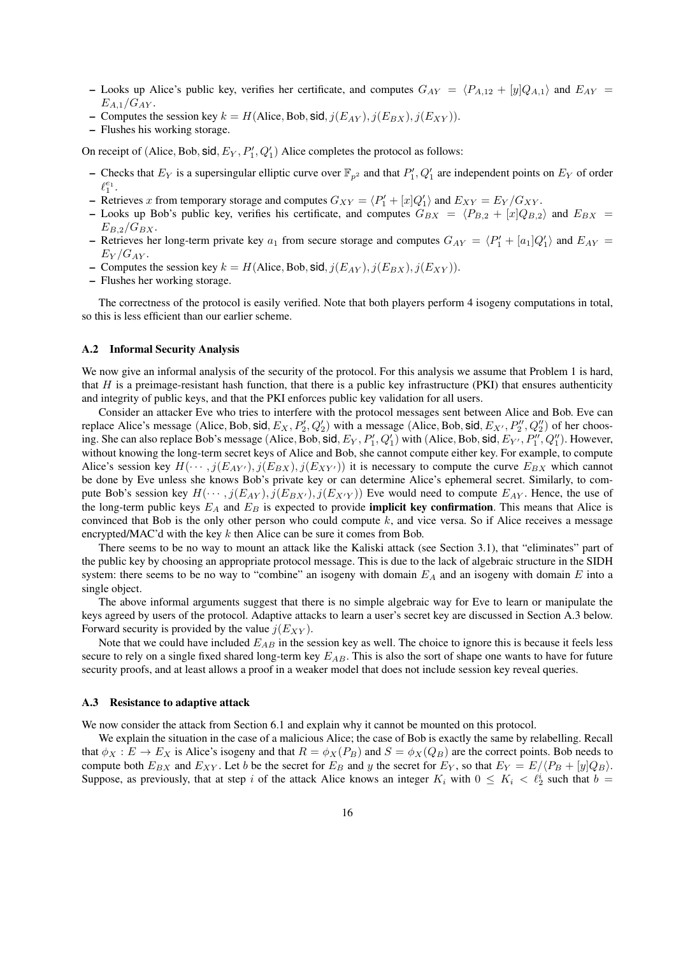- Looks up Alice's public key, verifies her certificate, and computes  $G_{AY} = \langle P_{A,12} + [y]Q_{A,1} \rangle$  and  $E_{AY} =$  $E_{A.1}/G_{AY}$ .
- Computes the session key  $k = H(Alice, Bob, sid, j(E_{AY}), j(E_{BX}), j(E_{XY})).$
- Flushes his working storage.

On receipt of (Alice, Bob, sid,  $E_Y$ ,  $P'_1$ ,  $Q'_1$ ) Alice completes the protocol as follows:

- Checks that  $E_Y$  is a supersingular elliptic curve over  $\mathbb{F}_{p^2}$  and that  $P'_1, Q'_1$  are independent points on  $E_Y$  of order  $\ell_1^{e_1}.$
- Retrieves x from temporary storage and computes  $G_{XY} = \langle P'_1 + [x]Q'_1 \rangle$  and  $E_{XY} = E_Y/G_{XY}$ .
- Looks up Bob's public key, verifies his certificate, and computes  $G_{BX} = \langle P_{B,2} + [x]Q_{B,2} \rangle$  and  $E_{BX} =$  $E_{B,2}/G_{BX}.$
- Retrieves her long-term private key  $a_1$  from secure storage and computes  $G_{AY} = \langle P'_1 + [a_1]Q'_1 \rangle$  and  $E_{AY} =$  $E_Y/G_{AY}$ .
- Computes the session key  $k = H(Alice, Bob, sid, j(E_{AY}), j(E_{BX}), j(E_{XY})).$
- Flushes her working storage.

The correctness of the protocol is easily verified. Note that both players perform 4 isogeny computations in total, so this is less efficient than our earlier scheme.

#### A.2 Informal Security Analysis

We now give an informal analysis of the security of the protocol. For this analysis we assume that Problem 1 is hard, that H is a preimage-resistant hash function, that there is a public key infrastructure (PKI) that ensures authenticity and integrity of public keys, and that the PKI enforces public key validation for all users.

Consider an attacker Eve who tries to interfere with the protocol messages sent between Alice and Bob. Eve can replace Alice's message (Alice, Bob, sid,  $E_X, P'_2, Q'_2$ ) with a message (Alice, Bob, sid,  $E_{X'}, P''_2, Q''_2$ ) of her choosing. She can also replace Bob's message (Alice, Bob, sid,  $E_Y$ ,  $P'_1$ ,  $Q'_1$ ) with (Alice, Bob, sid,  $E_{Y'}$ ,  $P''_1$ ,  $Q''_1$ ). However, without knowing the long-term secret keys of Alice and Bob, she cannot compute either key. For example, to compute Alice's session key  $H(\cdots, j(E_{AY}), j(E_{BX}), j(E_{XY}))$  it is necessary to compute the curve  $E_{BX}$  which cannot be done by Eve unless she knows Bob's private key or can determine Alice's ephemeral secret. Similarly, to compute Bob's session key  $H(\cdots, j(E_{AY}), j(E_{BY'}) , j(E_{XY} ))$  Eve would need to compute  $E_{AY}$ . Hence, the use of the long-term public keys  $E_A$  and  $E_B$  is expected to provide **implicit key confirmation**. This means that Alice is convinced that Bob is the only other person who could compute k, and vice versa. So if Alice receives a message encrypted/MAC'd with the key  $k$  then Alice can be sure it comes from Bob.

There seems to be no way to mount an attack like the Kaliski attack (see Section 3.1), that "eliminates" part of the public key by choosing an appropriate protocol message. This is due to the lack of algebraic structure in the SIDH system: there seems to be no way to "combine" an isogeny with domain  $E_A$  and an isogeny with domain  $E$  into a single object.

The above informal arguments suggest that there is no simple algebraic way for Eve to learn or manipulate the keys agreed by users of the protocol. Adaptive attacks to learn a user's secret key are discussed in Section A.3 below. Forward security is provided by the value  $j(E_{XY})$ .

Note that we could have included  $E_{AB}$  in the session key as well. The choice to ignore this is because it feels less secure to rely on a single fixed shared long-term key  $E_{AB}$ . This is also the sort of shape one wants to have for future security proofs, and at least allows a proof in a weaker model that does not include session key reveal queries.

#### A.3 Resistance to adaptive attack

We now consider the attack from Section 6.1 and explain why it cannot be mounted on this protocol.

We explain the situation in the case of a malicious Alice; the case of Bob is exactly the same by relabelling. Recall that  $\phi_X : E \to E_X$  is Alice's isogeny and that  $R = \phi_X(P_B)$  and  $S = \phi_X(Q_B)$  are the correct points. Bob needs to compute both  $E_{BX}$  and  $E_{XY}$ . Let b be the secret for  $E_B$  and y the secret for  $E_Y$ , so that  $E_Y = E/\langle P_B + [y]Q_B \rangle$ . Suppose, as previously, that at step i of the attack Alice knows an integer  $K_i$  with  $0 \le K_i < \ell_2^i$  such that  $b =$